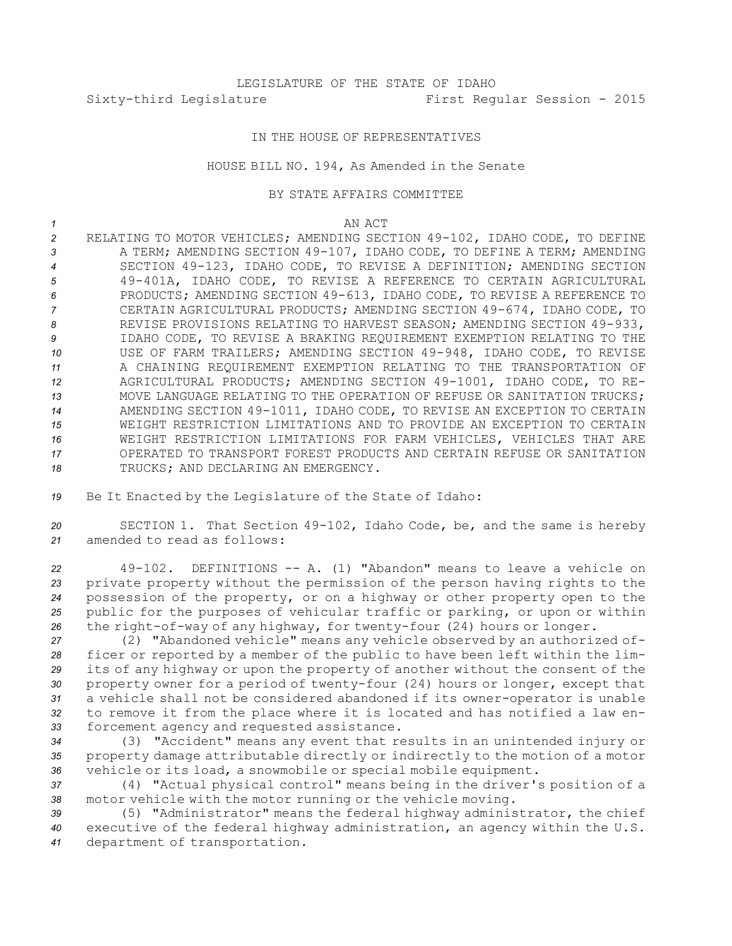## IN THE HOUSE OF REPRESENTATIVES

## HOUSE BILL NO. 194, As Amended in the Senate

### BY STATE AFFAIRS COMMITTEE

#### *1* AN ACT

 RELATING TO MOTOR VEHICLES; AMENDING SECTION 49-102, IDAHO CODE, TO DEFINE 3 A TERM; AMENDING SECTION 49-107, IDAHO CODE, TO DEFINE A TERM; AMENDING SECTION 49-123, IDAHO CODE, TO REVISE A DEFINITION; AMENDING SECTION 49-401A, IDAHO CODE, TO REVISE A REFERENCE TO CERTAIN AGRICULTURAL PRODUCTS; AMENDING SECTION 49-613, IDAHO CODE, TO REVISE A REFERENCE TO CERTAIN AGRICULTURAL PRODUCTS; AMENDING SECTION 49-674, IDAHO CODE, TO 8 REVISE PROVISIONS RELATING TO HARVEST SEASON; AMENDING SECTION 49-933, IDAHO CODE, TO REVISE A BRAKING REQUIREMENT EXEMPTION RELATING TO THE USE OF FARM TRAILERS; AMENDING SECTION 49-948, IDAHO CODE, TO REVISE A CHAINING REQUIREMENT EXEMPTION RELATING TO THE TRANSPORTATION OF AGRICULTURAL PRODUCTS; AMENDING SECTION 49-1001, IDAHO CODE, TO RE- MOVE LANGUAGE RELATING TO THE OPERATION OF REFUSE OR SANITATION TRUCKS; AMENDING SECTION 49-1011, IDAHO CODE, TO REVISE AN EXCEPTION TO CERTAIN WEIGHT RESTRICTION LIMITATIONS AND TO PROVIDE AN EXCEPTION TO CERTAIN WEIGHT RESTRICTION LIMITATIONS FOR FARM VEHICLES, VEHICLES THAT ARE OPERATED TO TRANSPORT FOREST PRODUCTS AND CERTAIN REFUSE OR SANITATION 18 TRUCKS; AND DECLARING AN EMERGENCY.

*<sup>19</sup>* Be It Enacted by the Legislature of the State of Idaho:

*<sup>20</sup>* SECTION 1. That Section 49-102, Idaho Code, be, and the same is hereby *21* amended to read as follows:

 49-102. DEFINITIONS -- A. (1) "Abandon" means to leave <sup>a</sup> vehicle on private property without the permission of the person having rights to the possession of the property, or on <sup>a</sup> highway or other property open to the public for the purposes of vehicular traffic or parking, or upon or within the right-of-way of any highway, for twenty-four (24) hours or longer.

 (2) "Abandoned vehicle" means any vehicle observed by an authorized of- ficer or reported by <sup>a</sup> member of the public to have been left within the lim- its of any highway or upon the property of another without the consent of the property owner for <sup>a</sup> period of twenty-four (24) hours or longer, except that <sup>a</sup> vehicle shall not be considered abandoned if its owner-operator is unable to remove it from the place where it is located and has notified <sup>a</sup> law en-forcement agency and requested assistance.

*<sup>34</sup>* (3) "Accident" means any event that results in an unintended injury or *<sup>35</sup>* property damage attributable directly or indirectly to the motion of <sup>a</sup> motor *<sup>36</sup>* vehicle or its load, <sup>a</sup> snowmobile or special mobile equipment.

*<sup>37</sup>* (4) "Actual physical control" means being in the driver's position of <sup>a</sup> *<sup>38</sup>* motor vehicle with the motor running or the vehicle moving.

*<sup>39</sup>* (5) "Administrator" means the federal highway administrator, the chief *<sup>40</sup>* executive of the federal highway administration, an agency within the U.S. *<sup>41</sup>* department of transportation.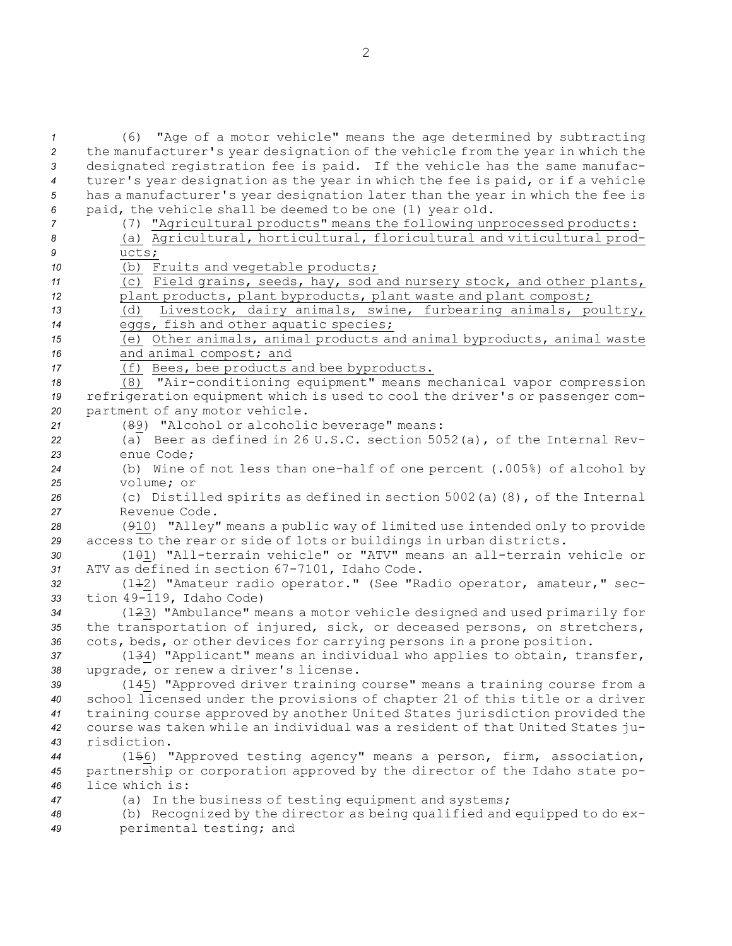(6) "Age of <sup>a</sup> motor vehicle" means the age determined by subtracting the manufacturer's year designation of the vehicle from the year in which the designated registration fee is paid. If the vehicle has the same manufac- turer's year designation as the year in which the fee is paid, or if <sup>a</sup> vehicle has <sup>a</sup> manufacturer's year designation later than the year in which the fee is paid, the vehicle shall be deemed to be one (1) year old. (7) "Agricultural products" means the following unprocessed products: (a) Agricultural, horticultural, floricultural and viticultural prod-*9* ucts; (b) Fruits and vegetable products; (c) Field grains, seeds, hay, sod and nursery stock, and other plants, 12 plant products, plant byproducts, plant waste and plant compost; (d) Livestock, dairy animals, swine, furbearing animals, poultry, eggs, fish and other aquatic species; (e) Other animals, animal products and animal byproducts, animal waste and animal compost; and (f) Bees, bee products and bee byproducts. (8) "Air-conditioning equipment" means mechanical vapor compression refrigeration equipment which is used to cool the driver's or passenger com- partment of any motor vehicle. (89) "Alcohol or alcoholic beverage" means: (a) Beer as defined in 26 U.S.C. section 5052(a), of the Internal Rev- enue Code; (b) Wine of not less than one-half of one percent (.005%) of alcohol by volume; or (c) Distilled spirits as defined in section 5002(a)(8), of the Internal Revenue Code. (910) "Alley" means <sup>a</sup> public way of limited use intended only to provide access to the rear or side of lots or buildings in urban districts. (101) "All-terrain vehicle" or "ATV" means an all-terrain vehicle or ATV as defined in section 67-7101, Idaho Code. (112) "Amateur radio operator." (See "Radio operator, amateur," sec- tion 49-119, Idaho Code) (123) "Ambulance" means <sup>a</sup> motor vehicle designed and used primarily for the transportation of injured, sick, or deceased persons, on stretchers, cots, beds, or other devices for carrying persons in <sup>a</sup> prone position. (134) "Applicant" means an individual who applies to obtain, transfer, upgrade, or renew <sup>a</sup> driver's license. (145) "Approved driver training course" means <sup>a</sup> training course from <sup>a</sup> school licensed under the provisions of chapter 21 of this title or <sup>a</sup> driver training course approved by another United States jurisdiction provided the course was taken while an individual was <sup>a</sup> resident of that United States ju- risdiction. (156) "Approved testing agency" means <sup>a</sup> person, firm, association, partnership or corporation approved by the director of the Idaho state po- lice which is: (a) In the business of testing equipment and systems; (b) Recognized by the director as being qualified and equipped to do ex-

*<sup>49</sup>* perimental testing; and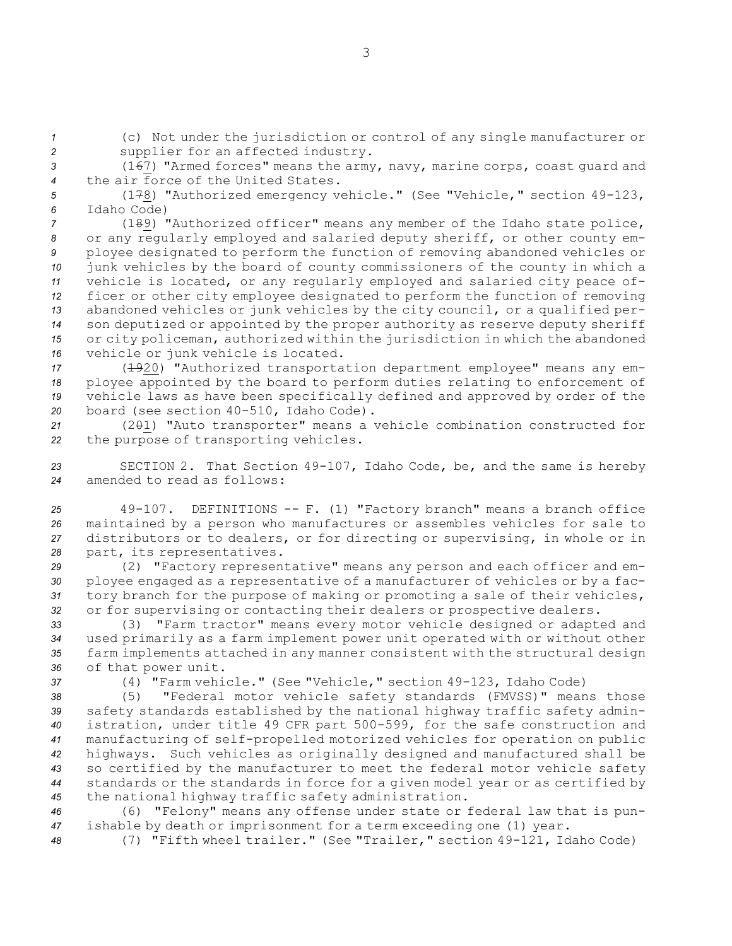*<sup>1</sup>* (c) Not under the jurisdiction or control of any single manufacturer or *<sup>2</sup>* supplier for an affected industry.

*<sup>3</sup>* (167) "Armed forces" means the army, navy, marine corps, coast guard and *4* the air force of the United States.

*<sup>5</sup>* (178) "Authorized emergency vehicle." (See "Vehicle," section 49-123, *6* Idaho Code)

 (189) "Authorized officer" means any member of the Idaho state police, or any regularly employed and salaried deputy sheriff, or other county em- ployee designated to perform the function of removing abandoned vehicles or junk vehicles by the board of county commissioners of the county in which <sup>a</sup> vehicle is located, or any regularly employed and salaried city peace of- ficer or other city employee designated to perform the function of removing abandoned vehicles or junk vehicles by the city council, or <sup>a</sup> qualified per- son deputized or appointed by the proper authority as reserve deputy sheriff or city policeman, authorized within the jurisdiction in which the abandoned vehicle or junk vehicle is located.

 (1920) "Authorized transportation department employee" means any em- ployee appointed by the board to perform duties relating to enforcement of vehicle laws as have been specifically defined and approved by order of the board (see section 40-510, Idaho Code).

*<sup>21</sup>* (201) "Auto transporter" means <sup>a</sup> vehicle combination constructed for *<sup>22</sup>* the purpose of transporting vehicles.

*<sup>23</sup>* SECTION 2. That Section 49-107, Idaho Code, be, and the same is hereby *24* amended to read as follows:

 49-107. DEFINITIONS -- F. (1) "Factory branch" means <sup>a</sup> branch office maintained by <sup>a</sup> person who manufactures or assembles vehicles for sale to distributors or to dealers, or for directing or supervising, in whole or in part, its representatives.

 (2) "Factory representative" means any person and each officer and em- ployee engaged as <sup>a</sup> representative of <sup>a</sup> manufacturer of vehicles or by <sup>a</sup> fac- tory branch for the purpose of making or promoting <sup>a</sup> sale of their vehicles, or for supervising or contacting their dealers or prospective dealers.

 (3) "Farm tractor" means every motor vehicle designed or adapted and used primarily as <sup>a</sup> farm implement power unit operated with or without other farm implements attached in any manner consistent with the structural design of that power unit.

*<sup>37</sup>* (4) "Farm vehicle." (See "Vehicle," section 49-123, Idaho Code)

 (5) "Federal motor vehicle safety standards (FMVSS)" means those safety standards established by the national highway traffic safety admin- istration, under title 49 CFR part 500-599, for the safe construction and manufacturing of self-propelled motorized vehicles for operation on public highways. Such vehicles as originally designed and manufactured shall be so certified by the manufacturer to meet the federal motor vehicle safety standards or the standards in force for <sup>a</sup> given model year or as certified by the national highway traffic safety administration.

*<sup>46</sup>* (6) "Felony" means any offense under state or federal law that is pun-*<sup>47</sup>* ishable by death or imprisonment for <sup>a</sup> term exceeding one (1) year.

*<sup>48</sup>* (7) "Fifth wheel trailer." (See "Trailer," section 49-121, Idaho Code)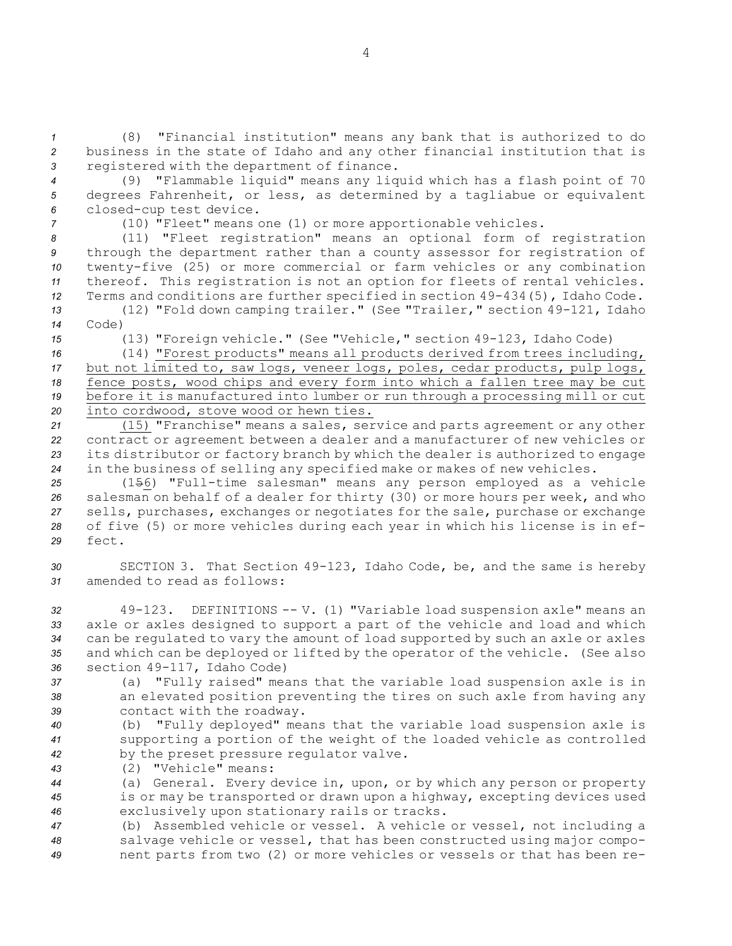*<sup>1</sup>* (8) "Financial institution" means any bank that is authorized to do *<sup>2</sup>* business in the state of Idaho and any other financial institution that is *<sup>3</sup>* registered with the department of finance.

*<sup>4</sup>* (9) "Flammable liquid" means any liquid which has <sup>a</sup> flash point of 70 *<sup>5</sup>* degrees Fahrenheit, or less, as determined by <sup>a</sup> tagliabue or equivalent *<sup>6</sup>* closed-cup test device.

*<sup>7</sup>* (10) "Fleet" means one (1) or more apportionable vehicles.

 (11) "Fleet registration" means an optional form of registration through the department rather than <sup>a</sup> county assessor for registration of twenty-five (25) or more commercial or farm vehicles or any combination thereof. This registration is not an option for fleets of rental vehicles. Terms and conditions are further specified in section 49-434(5), Idaho Code.

*<sup>13</sup>* (12) "Fold down camping trailer." (See "Trailer," section 49-121, Idaho *14* Code)

*<sup>15</sup>* (13) "Foreign vehicle." (See "Vehicle," section 49-123, Idaho Code)

 (14) "Forest products" means all products derived from trees including, but not limited to, saw logs, veneer logs, poles, cedar products, pulp logs, fence posts, wood chips and every form into which <sup>a</sup> fallen tree may be cut before it is manufactured into lumber or run through <sup>a</sup> processing mill or cut into cordwood, stove wood or hewn ties.

 (15) "Franchise" means <sup>a</sup> sales, service and parts agreement or any other contract or agreement between <sup>a</sup> dealer and <sup>a</sup> manufacturer of new vehicles or its distributor or factory branch by which the dealer is authorized to engage in the business of selling any specified make or makes of new vehicles.

 (156) "Full-time salesman" means any person employed as <sup>a</sup> vehicle salesman on behalf of <sup>a</sup> dealer for thirty (30) or more hours per week, and who sells, purchases, exchanges or negotiates for the sale, purchase or exchange of five (5) or more vehicles during each year in which his license is in ef-*29* fect.

*<sup>30</sup>* SECTION 3. That Section 49-123, Idaho Code, be, and the same is hereby *31* amended to read as follows:

 49-123. DEFINITIONS -- V. (1) "Variable load suspension axle" means an axle or axles designed to support <sup>a</sup> part of the vehicle and load and which can be regulated to vary the amount of load supported by such an axle or axles and which can be deployed or lifted by the operator of the vehicle. (See also section 49-117, Idaho Code)

*<sup>37</sup>* (a) "Fully raised" means that the variable load suspension axle is in *<sup>38</sup>* an elevated position preventing the tires on such axle from having any *<sup>39</sup>* contact with the roadway.

*<sup>40</sup>* (b) "Fully deployed" means that the variable load suspension axle is *<sup>41</sup>* supporting <sup>a</sup> portion of the weight of the loaded vehicle as controlled *<sup>42</sup>* by the preset pressure regulator valve.

*43* (2) "Vehicle" means:

*<sup>44</sup>* (a) General. Every device in, upon, or by which any person or property *<sup>45</sup>* is or may be transported or drawn upon <sup>a</sup> highway, excepting devices used *<sup>46</sup>* exclusively upon stationary rails or tracks.

*<sup>47</sup>* (b) Assembled vehicle or vessel. <sup>A</sup> vehicle or vessel, not including <sup>a</sup> *<sup>48</sup>* salvage vehicle or vessel, that has been constructed using major compo-*<sup>49</sup>* nent parts from two (2) or more vehicles or vessels or that has been re-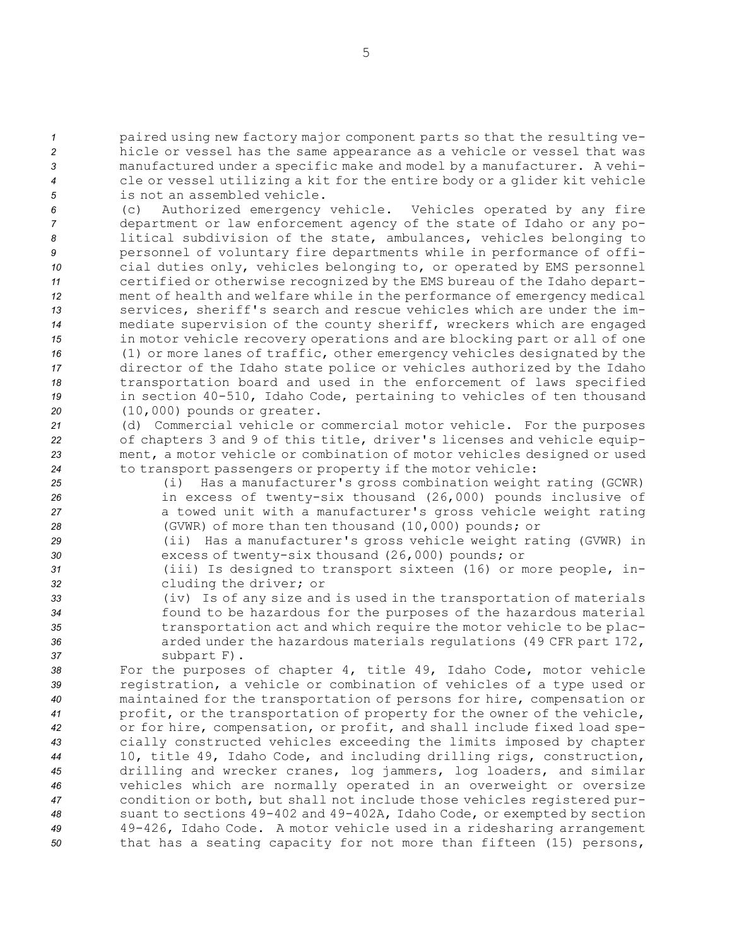paired using new factory major component parts so that the resulting ve- hicle or vessel has the same appearance as <sup>a</sup> vehicle or vessel that was manufactured under <sup>a</sup> specific make and model by <sup>a</sup> manufacturer. <sup>A</sup> vehi- cle or vessel utilizing <sup>a</sup> kit for the entire body or <sup>a</sup> glider kit vehicle is not an assembled vehicle.

 (c) Authorized emergency vehicle. Vehicles operated by any fire department or law enforcement agency of the state of Idaho or any po- litical subdivision of the state, ambulances, vehicles belonging to personnel of voluntary fire departments while in performance of offi- cial duties only, vehicles belonging to, or operated by EMS personnel certified or otherwise recognized by the EMS bureau of the Idaho depart- ment of health and welfare while in the performance of emergency medical services, sheriff's search and rescue vehicles which are under the im- mediate supervision of the county sheriff, wreckers which are engaged in motor vehicle recovery operations and are blocking part or all of one (1) or more lanes of traffic, other emergency vehicles designated by the director of the Idaho state police or vehicles authorized by the Idaho transportation board and used in the enforcement of laws specified in section 40-510, Idaho Code, pertaining to vehicles of ten thousand (10,000) pounds or greater.

 (d) Commercial vehicle or commercial motor vehicle. For the purposes of chapters 3 and 9 of this title, driver's licenses and vehicle equip- ment, <sup>a</sup> motor vehicle or combination of motor vehicles designed or used to transport passengers or property if the motor vehicle:

 (i) Has <sup>a</sup> manufacturer's gross combination weight rating (GCWR) in excess of twenty-six thousand (26,000) pounds inclusive of <sup>a</sup> towed unit with <sup>a</sup> manufacturer's gross vehicle weight rating (GVWR) of more than ten thousand (10,000) pounds; or

*<sup>29</sup>* (ii) Has <sup>a</sup> manufacturer's gross vehicle weight rating (GVWR) in *<sup>30</sup>* excess of twenty-six thousand (26,000) pounds; or

- *<sup>31</sup>* (iii) Is designed to transport sixteen (16) or more people, in-*<sup>32</sup>* cluding the driver; or
- *<sup>33</sup>* (iv) Is of any size and is used in the transportation of materials *<sup>34</sup>* found to be hazardous for the purposes of the hazardous material *<sup>35</sup>* transportation act and which require the motor vehicle to be plac-*<sup>36</sup>* arded under the hazardous materials regulations (49 CFR part 172, *<sup>37</sup>* subpart F).

 For the purposes of chapter 4, title 49, Idaho Code, motor vehicle registration, <sup>a</sup> vehicle or combination of vehicles of <sup>a</sup> type used or maintained for the transportation of persons for hire, compensation or profit, or the transportation of property for the owner of the vehicle, or for hire, compensation, or profit, and shall include fixed load spe- cially constructed vehicles exceeding the limits imposed by chapter 10, title 49, Idaho Code, and including drilling rigs, construction, drilling and wrecker cranes, log jammers, log loaders, and similar vehicles which are normally operated in an overweight or oversize condition or both, but shall not include those vehicles registered pur- suant to sections 49-402 and 49-402A, Idaho Code, or exempted by section 49-426, Idaho Code. <sup>A</sup> motor vehicle used in <sup>a</sup> ridesharing arrangement that has <sup>a</sup> seating capacity for not more than fifteen (15) persons,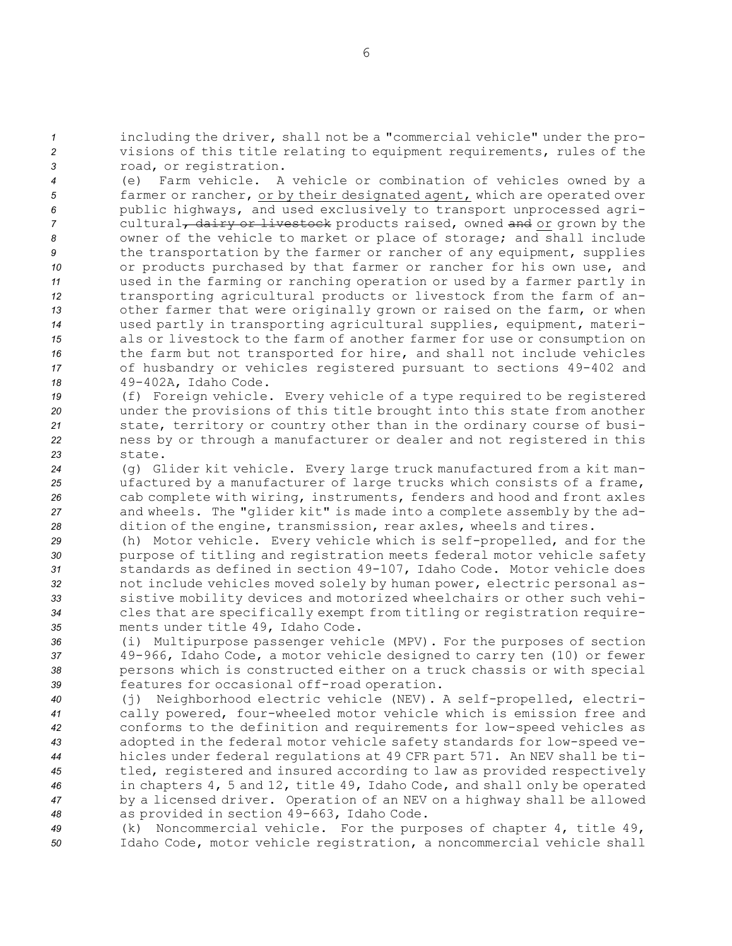*<sup>1</sup>* including the driver, shall not be <sup>a</sup> "commercial vehicle" under the pro-*<sup>2</sup>* visions of this title relating to equipment requirements, rules of the *<sup>3</sup>* road, or registration.

 (e) Farm vehicle. <sup>A</sup> vehicle or combination of vehicles owned by <sup>a</sup> farmer or rancher, or by their designated agent, which are operated over public highways, and used exclusively to transport unprocessed agri-7 cultural<sub>7</sub> dairy or livestock products raised, owned and or grown by the owner of the vehicle to market or place of storage; and shall include the transportation by the farmer or rancher of any equipment, supplies or products purchased by that farmer or rancher for his own use, and used in the farming or ranching operation or used by <sup>a</sup> farmer partly in transporting agricultural products or livestock from the farm of an- other farmer that were originally grown or raised on the farm, or when used partly in transporting agricultural supplies, equipment, materi- als or livestock to the farm of another farmer for use or consumption on the farm but not transported for hire, and shall not include vehicles of husbandry or vehicles registered pursuant to sections 49-402 and 49-402A, Idaho Code.

 (f) Foreign vehicle. Every vehicle of <sup>a</sup> type required to be registered under the provisions of this title brought into this state from another state, territory or country other than in the ordinary course of busi- ness by or through <sup>a</sup> manufacturer or dealer and not registered in this *23* state.

 (g) Glider kit vehicle. Every large truck manufactured from <sup>a</sup> kit man- ufactured by <sup>a</sup> manufacturer of large trucks which consists of <sup>a</sup> frame, cab complete with wiring, instruments, fenders and hood and front axles and wheels. The "glider kit" is made into <sup>a</sup> complete assembly by the ad-dition of the engine, transmission, rear axles, wheels and tires.

 (h) Motor vehicle. Every vehicle which is self-propelled, and for the purpose of titling and registration meets federal motor vehicle safety standards as defined in section 49-107, Idaho Code. Motor vehicle does not include vehicles moved solely by human power, electric personal as- sistive mobility devices and motorized wheelchairs or other such vehi- cles that are specifically exempt from titling or registration require-ments under title 49, Idaho Code.

 (i) Multipurpose passenger vehicle (MPV). For the purposes of section 49-966, Idaho Code, <sup>a</sup> motor vehicle designed to carry ten (10) or fewer persons which is constructed either on <sup>a</sup> truck chassis or with special features for occasional off-road operation.

 (j) Neighborhood electric vehicle (NEV). <sup>A</sup> self-propelled, electri- cally powered, four-wheeled motor vehicle which is emission free and conforms to the definition and requirements for low-speed vehicles as adopted in the federal motor vehicle safety standards for low-speed ve- hicles under federal regulations at 49 CFR part 571. An NEV shall be ti- tled, registered and insured according to law as provided respectively in chapters 4, 5 and 12, title 49, Idaho Code, and shall only be operated by <sup>a</sup> licensed driver. Operation of an NEV on <sup>a</sup> highway shall be allowed as provided in section 49-663, Idaho Code.

*<sup>49</sup>* (k) Noncommercial vehicle. For the purposes of chapter 4, title 49, *<sup>50</sup>* Idaho Code, motor vehicle registration, <sup>a</sup> noncommercial vehicle shall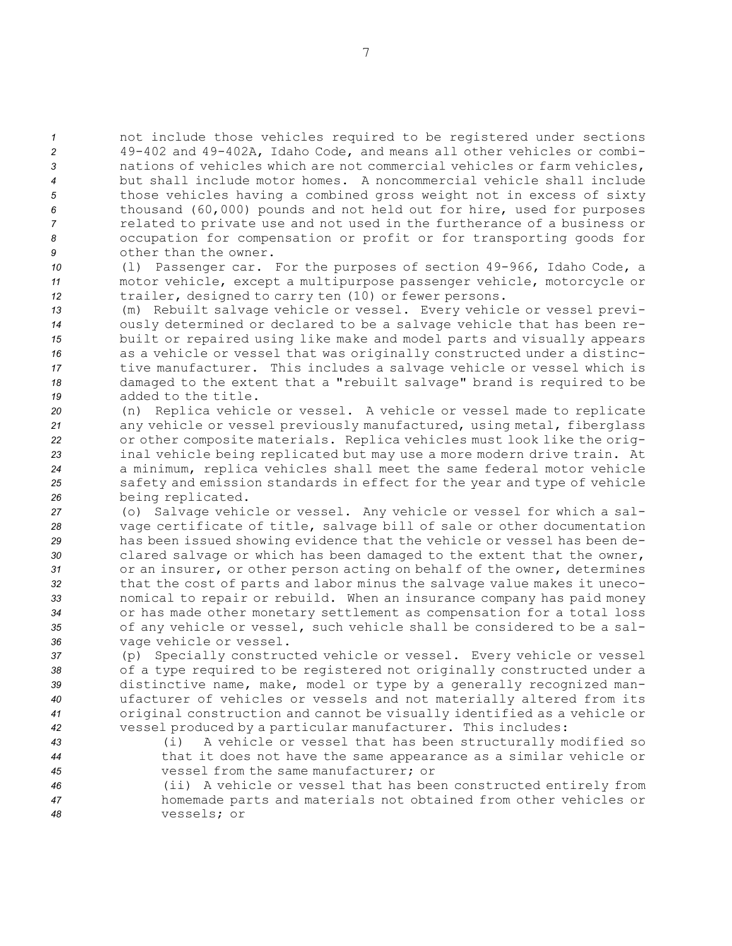not include those vehicles required to be registered under sections 49-402 and 49-402A, Idaho Code, and means all other vehicles or combi- nations of vehicles which are not commercial vehicles or farm vehicles, but shall include motor homes. A noncommercial vehicle shall include those vehicles having <sup>a</sup> combined gross weight not in excess of sixty thousand (60,000) pounds and not held out for hire, used for purposes related to private use and not used in the furtherance of <sup>a</sup> business or occupation for compensation or profit or for transporting goods for other than the owner.

*<sup>10</sup>* (l) Passenger car. For the purposes of section 49-966, Idaho Code, <sup>a</sup> *<sup>11</sup>* motor vehicle, except <sup>a</sup> multipurpose passenger vehicle, motorcycle or *<sup>12</sup>* trailer, designed to carry ten (10) or fewer persons.

 (m) Rebuilt salvage vehicle or vessel. Every vehicle or vessel previ- ously determined or declared to be <sup>a</sup> salvage vehicle that has been re- built or repaired using like make and model parts and visually appears as <sup>a</sup> vehicle or vessel that was originally constructed under <sup>a</sup> distinc- tive manufacturer. This includes <sup>a</sup> salvage vehicle or vessel which is damaged to the extent that <sup>a</sup> "rebuilt salvage" brand is required to be added to the title.

 (n) Replica vehicle or vessel. <sup>A</sup> vehicle or vessel made to replicate any vehicle or vessel previously manufactured, using metal, fiberglass or other composite materials. Replica vehicles must look like the orig- inal vehicle being replicated but may use <sup>a</sup> more modern drive train. At <sup>a</sup> minimum, replica vehicles shall meet the same federal motor vehicle safety and emission standards in effect for the year and type of vehicle being replicated.

 (o) Salvage vehicle or vessel. Any vehicle or vessel for which <sup>a</sup> sal- vage certificate of title, salvage bill of sale or other documentation has been issued showing evidence that the vehicle or vessel has been de- clared salvage or which has been damaged to the extent that the owner, or an insurer, or other person acting on behalf of the owner, determines that the cost of parts and labor minus the salvage value makes it uneco- nomical to repair or rebuild. When an insurance company has paid money or has made other monetary settlement as compensation for <sup>a</sup> total loss of any vehicle or vessel, such vehicle shall be considered to be <sup>a</sup> sal-vage vehicle or vessel.

 (p) Specially constructed vehicle or vessel. Every vehicle or vessel of <sup>a</sup> type required to be registered not originally constructed under <sup>a</sup> distinctive name, make, model or type by <sup>a</sup> generally recognized man- ufacturer of vehicles or vessels and not materially altered from its original construction and cannot be visually identified as <sup>a</sup> vehicle or vessel produced by <sup>a</sup> particular manufacturer. This includes:

*<sup>43</sup>* (i) <sup>A</sup> vehicle or vessel that has been structurally modified so *<sup>44</sup>* that it does not have the same appearance as <sup>a</sup> similar vehicle or *45* vessel from the same manufacturer; or

*<sup>46</sup>* (ii) <sup>A</sup> vehicle or vessel that has been constructed entirely from *<sup>47</sup>* homemade parts and materials not obtained from other vehicles or *48* vessels; or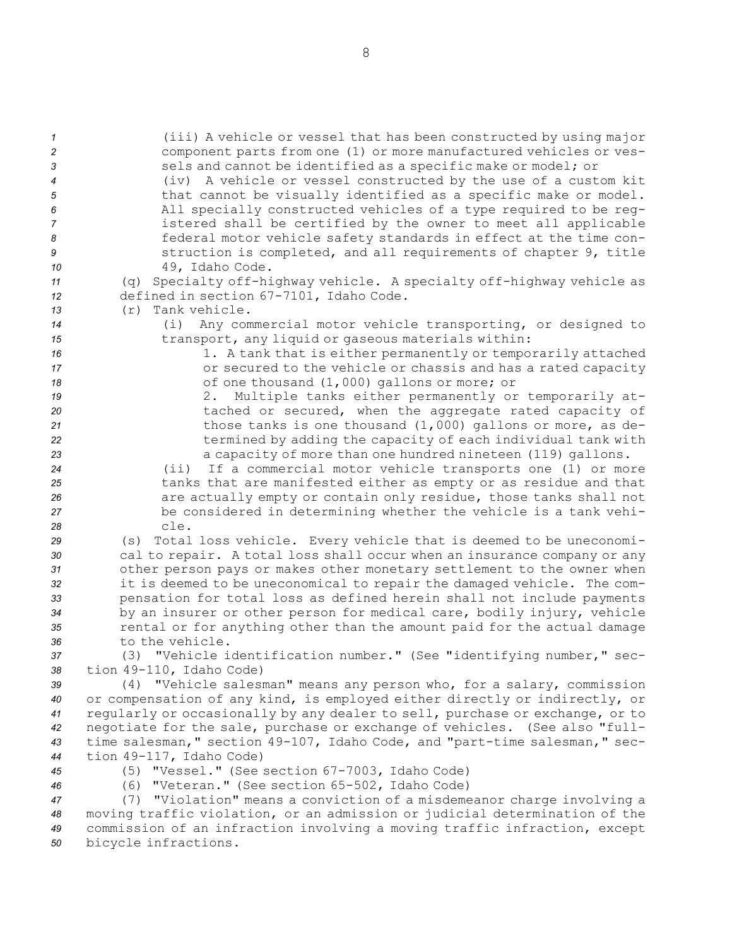| $\overline{1}$<br>$\overline{c}$<br>$\mathbf{3}$<br>$\overline{4}$ | (iii) A vehicle or vessel that has been constructed by using major<br>component parts from one (1) or more manufactured vehicles or ves-<br>sels and cannot be identified as a specific make or model; or<br>(iv) A vehicle or vessel constructed by the use of a custom kit |
|--------------------------------------------------------------------|------------------------------------------------------------------------------------------------------------------------------------------------------------------------------------------------------------------------------------------------------------------------------|
| $\sqrt{5}$<br>6                                                    | that cannot be visually identified as a specific make or model.<br>All specially constructed vehicles of a type required to be reg-                                                                                                                                          |
| $\overline{7}$                                                     | istered shall be certified by the owner to meet all applicable                                                                                                                                                                                                               |
| 8                                                                  | federal motor vehicle safety standards in effect at the time con-                                                                                                                                                                                                            |
| 9                                                                  | struction is completed, and all requirements of chapter 9, title                                                                                                                                                                                                             |
| 10                                                                 | 49, Idaho Code.                                                                                                                                                                                                                                                              |
| 11                                                                 | (q) Specialty off-highway vehicle. A specialty off-highway vehicle as                                                                                                                                                                                                        |
| 12                                                                 | defined in section 67-7101, Idaho Code.                                                                                                                                                                                                                                      |
| 13                                                                 | $(r)$ Tank vehicle.                                                                                                                                                                                                                                                          |
| 14                                                                 | Any commercial motor vehicle transporting, or designed to<br>(i)                                                                                                                                                                                                             |
| 15                                                                 | transport, any liquid or gaseous materials within:                                                                                                                                                                                                                           |
| 16<br>17                                                           | 1. A tank that is either permanently or temporarily attached<br>or secured to the vehicle or chassis and has a rated capacity                                                                                                                                                |
| 18                                                                 | of one thousand (1,000) gallons or more; or                                                                                                                                                                                                                                  |
| 19                                                                 | 2. Multiple tanks either permanently or temporarily at-                                                                                                                                                                                                                      |
| 20                                                                 | tached or secured, when the aggregate rated capacity of                                                                                                                                                                                                                      |
| 21                                                                 | those tanks is one thousand $(1,000)$ gallons or more, as de-                                                                                                                                                                                                                |
| 22                                                                 | termined by adding the capacity of each individual tank with                                                                                                                                                                                                                 |
| 23                                                                 | a capacity of more than one hundred nineteen (119) gallons.                                                                                                                                                                                                                  |
| 24                                                                 | If a commercial motor vehicle transports one (1) or more<br>$(i$ i)                                                                                                                                                                                                          |
| 25                                                                 | tanks that are manifested either as empty or as residue and that                                                                                                                                                                                                             |
| 26                                                                 | are actually empty or contain only residue, those tanks shall not<br>be considered in determining whether the vehicle is a tank vehi-                                                                                                                                        |
| 27<br>28                                                           | cle.                                                                                                                                                                                                                                                                         |
| 29                                                                 | (s) Total loss vehicle. Every vehicle that is deemed to be uneconomi-                                                                                                                                                                                                        |
| 30                                                                 | cal to repair. A total loss shall occur when an insurance company or any                                                                                                                                                                                                     |
| 31                                                                 | other person pays or makes other monetary settlement to the owner when                                                                                                                                                                                                       |
| 32                                                                 | it is deemed to be uneconomical to repair the damaged vehicle. The com-                                                                                                                                                                                                      |
| 33                                                                 | pensation for total loss as defined herein shall not include payments                                                                                                                                                                                                        |
| 34                                                                 | by an insurer or other person for medical care, bodily injury, vehicle                                                                                                                                                                                                       |
| 35                                                                 | rental or for anything other than the amount paid for the actual damage<br>to the vehicle.                                                                                                                                                                                   |
| 36<br>37                                                           | (3) "Vehicle identification number." (See "identifying number," sec-                                                                                                                                                                                                         |
| 38                                                                 | tion 49-110, Idaho Code)                                                                                                                                                                                                                                                     |
| 39                                                                 | (4) "Vehicle salesman" means any person who, for a salary, commission                                                                                                                                                                                                        |
| 40                                                                 | or compensation of any kind, is employed either directly or indirectly, or                                                                                                                                                                                                   |
| 41                                                                 | regularly or occasionally by any dealer to sell, purchase or exchange, or to                                                                                                                                                                                                 |
| 42                                                                 | negotiate for the sale, purchase or exchange of vehicles. (See also "full-                                                                                                                                                                                                   |
| 43                                                                 | time salesman, " section 49-107, Idaho Code, and "part-time salesman, " sec-                                                                                                                                                                                                 |
| 44                                                                 | tion 49-117, Idaho Code)                                                                                                                                                                                                                                                     |
| 45                                                                 | (5) "Vessel." (See section 67-7003, Idaho Code)                                                                                                                                                                                                                              |
| 46                                                                 | (6) "Veteran." (See section 65-502, Idaho Code)<br>(7) "Violation" means a conviction of a misdemeanor charge involving a                                                                                                                                                    |
| 47<br>48                                                           | moving traffic violation, or an admission or judicial determination of the                                                                                                                                                                                                   |
| 49                                                                 | commission of an infraction involving a moving traffic infraction, except                                                                                                                                                                                                    |
| 50                                                                 | bicycle infractions.                                                                                                                                                                                                                                                         |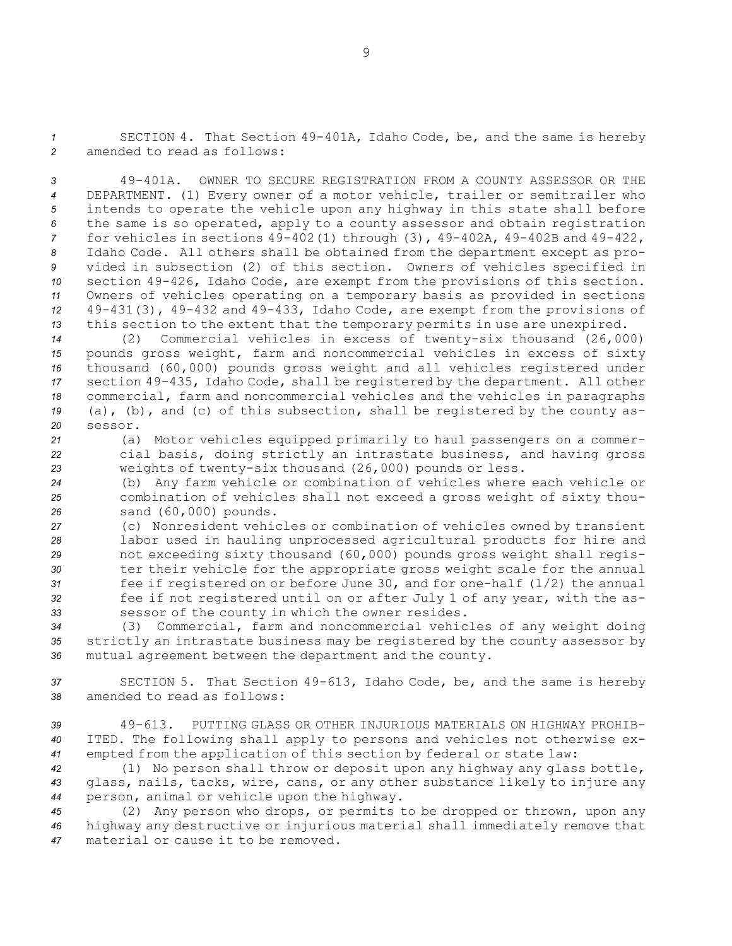*<sup>1</sup>* SECTION 4. That Section 49-401A, Idaho Code, be, and the same is hereby *2* amended to read as follows:

 49-401A. OWNER TO SECURE REGISTRATION FROM A COUNTY ASSESSOR OR THE DEPARTMENT. (1) Every owner of <sup>a</sup> motor vehicle, trailer or semitrailer who intends to operate the vehicle upon any highway in this state shall before the same is so operated, apply to <sup>a</sup> county assessor and obtain registration for vehicles in sections 49-402(1) through (3), 49-402A, 49-402B and 49-422, Idaho Code. All others shall be obtained from the department except as pro- vided in subsection (2) of this section. Owners of vehicles specified in section 49-426, Idaho Code, are exempt from the provisions of this section. Owners of vehicles operating on <sup>a</sup> temporary basis as provided in sections 49-431(3), 49-432 and 49-433, Idaho Code, are exempt from the provisions of this section to the extent that the temporary permits in use are unexpired.

 (2) Commercial vehicles in excess of twenty-six thousand (26,000) pounds gross weight, farm and noncommercial vehicles in excess of sixty thousand (60,000) pounds gross weight and all vehicles registered under section 49-435, Idaho Code, shall be registered by the department. All other commercial, farm and noncommercial vehicles and the vehicles in paragraphs (a), (b), and (c) of this subsection, shall be registered by the county as-*20* sessor.

*<sup>21</sup>* (a) Motor vehicles equipped primarily to haul passengers on <sup>a</sup> commer-*<sup>22</sup>* cial basis, doing strictly an intrastate business, and having gross *<sup>23</sup>* weights of twenty-six thousand (26,000) pounds or less.

*<sup>24</sup>* (b) Any farm vehicle or combination of vehicles where each vehicle or *<sup>25</sup>* combination of vehicles shall not exceed <sup>a</sup> gross weight of sixty thou-*<sup>26</sup>* sand (60,000) pounds.

 (c) Nonresident vehicles or combination of vehicles owned by transient labor used in hauling unprocessed agricultural products for hire and not exceeding sixty thousand (60,000) pounds gross weight shall regis- ter their vehicle for the appropriate gross weight scale for the annual fee if registered on or before June 30, and for one-half (1/2) the annual fee if not registered until on or after July 1 of any year, with the as-sessor of the county in which the owner resides.

*<sup>34</sup>* (3) Commercial, farm and noncommercial vehicles of any weight doing *<sup>35</sup>* strictly an intrastate business may be registered by the county assessor by *<sup>36</sup>* mutual agreement between the department and the county.

*<sup>37</sup>* SECTION 5. That Section 49-613, Idaho Code, be, and the same is hereby *38* amended to read as follows:

*39* 49-613. PUTTING GLASS OR OTHER INJURIOUS MATERIALS ON HIGHWAY PROHIB-*<sup>40</sup>* ITED. The following shall apply to persons and vehicles not otherwise ex-*<sup>41</sup>* empted from the application of this section by federal or state law:

*<sup>42</sup>* (1) No person shall throw or deposit upon any highway any glass bottle, *<sup>43</sup>* glass, nails, tacks, wire, cans, or any other substance likely to injure any *<sup>44</sup>* person, animal or vehicle upon the highway.

*<sup>45</sup>* (2) Any person who drops, or permits to be dropped or thrown, upon any *<sup>46</sup>* highway any destructive or injurious material shall immediately remove that *47* material or cause it to be removed.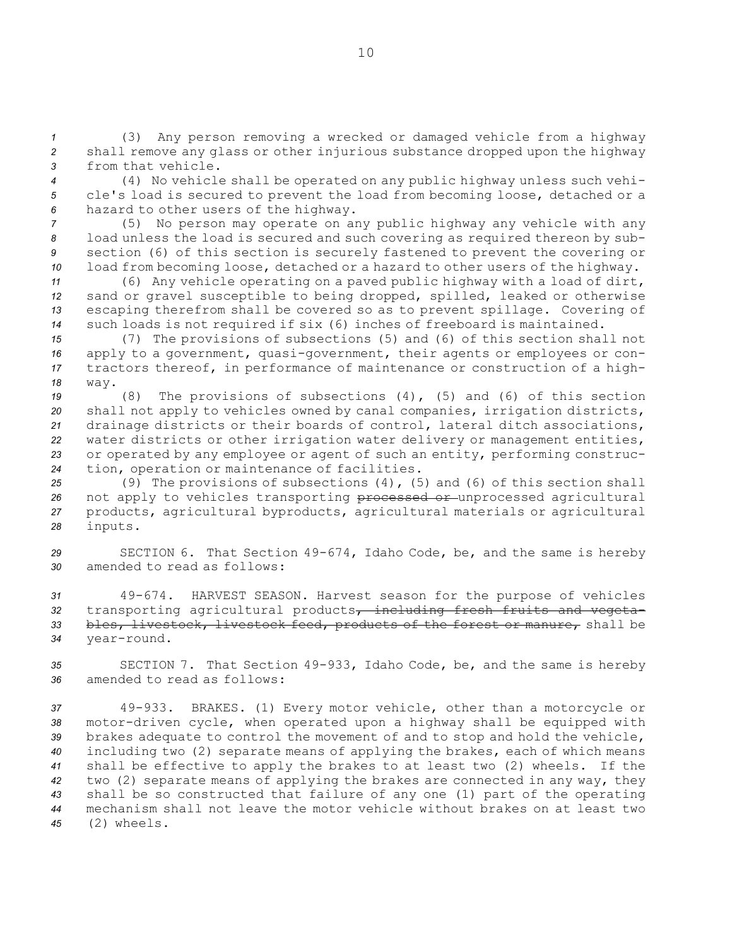*<sup>1</sup>* (3) Any person removing <sup>a</sup> wrecked or damaged vehicle from <sup>a</sup> highway *<sup>2</sup>* shall remove any glass or other injurious substance dropped upon the highway *3* from that vehicle.

*<sup>4</sup>* (4) No vehicle shall be operated on any public highway unless such vehi-*<sup>5</sup>* cle's load is secured to prevent the load from becoming loose, detached or <sup>a</sup> *<sup>6</sup>* hazard to other users of the highway.

 (5) No person may operate on any public highway any vehicle with any load unless the load is secured and such covering as required thereon by sub- section (6) of this section is securely fastened to prevent the covering or load from becoming loose, detached or <sup>a</sup> hazard to other users of the highway.

 (6) Any vehicle operating on <sup>a</sup> paved public highway with <sup>a</sup> load of dirt, sand or gravel susceptible to being dropped, spilled, leaked or otherwise escaping therefrom shall be covered so as to prevent spillage. Covering of such loads is not required if six (6) inches of freeboard is maintained.

 (7) The provisions of subsections (5) and (6) of this section shall not apply to <sup>a</sup> government, quasi-government, their agents or employees or con- tractors thereof, in performance of maintenance or construction of <sup>a</sup> high-*18* way.

 (8) The provisions of subsections (4), (5) and (6) of this section shall not apply to vehicles owned by canal companies, irrigation districts, drainage districts or their boards of control, lateral ditch associations, water districts or other irrigation water delivery or management entities, or operated by any employee or agent of such an entity, performing construc-tion, operation or maintenance of facilities.

*<sup>25</sup>* (9) The provisions of subsections (4), (5) and (6) of this section shall 26 not apply to vehicles transporting processed or unprocessed agricultural *<sup>27</sup>* products, agricultural byproducts, agricultural materials or agricultural *<sup>28</sup>* inputs.

*<sup>29</sup>* SECTION 6. That Section 49-674, Idaho Code, be, and the same is hereby *30* amended to read as follows:

 49-674. HARVEST SEASON. Harvest season for the purpose of vehicles 32 transporting agricultural products, including fresh fruits and vegeta- bles, livestock, livestock feed, products of the forest or manure, shall be year-round.

*<sup>35</sup>* SECTION 7. That Section 49-933, Idaho Code, be, and the same is hereby *36* amended to read as follows:

 49-933. BRAKES. (1) Every motor vehicle, other than <sup>a</sup> motorcycle or motor-driven cycle, when operated upon <sup>a</sup> highway shall be equipped with brakes adequate to control the movement of and to stop and hold the vehicle, including two (2) separate means of applying the brakes, each of which means shall be effective to apply the brakes to at least two (2) wheels. If the two (2) separate means of applying the brakes are connected in any way, they shall be so constructed that failure of any one (1) part of the operating mechanism shall not leave the motor vehicle without brakes on at least two (2) wheels.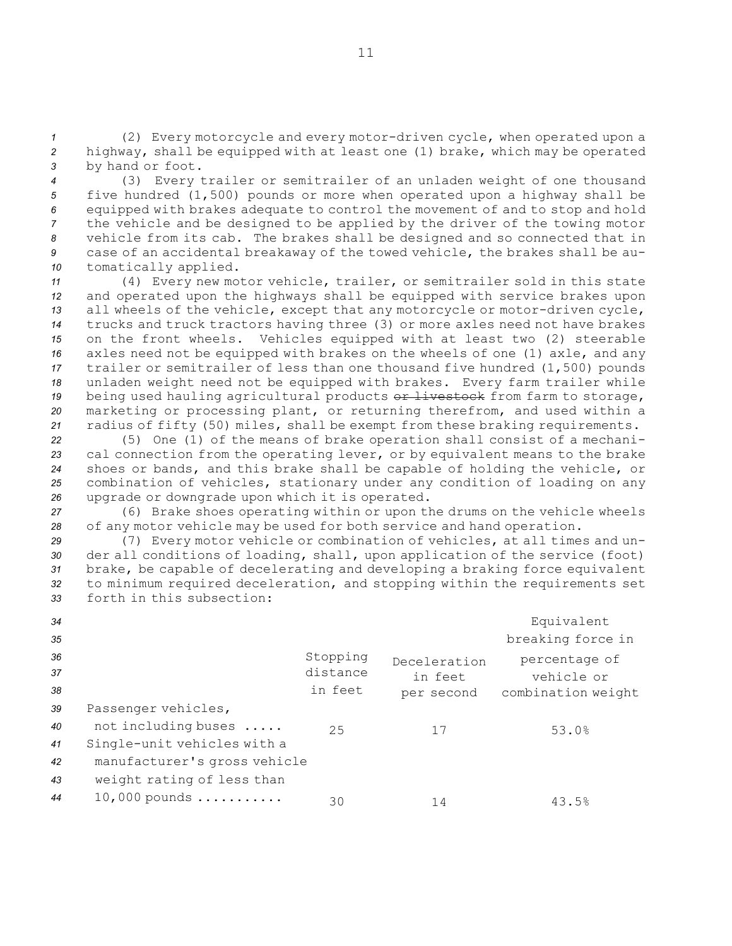*<sup>1</sup>* (2) Every motorcycle and every motor-driven cycle, when operated upon <sup>a</sup> *<sup>2</sup>* highway, shall be equipped with at least one (1) brake, which may be operated *<sup>3</sup>* by hand or foot.

 (3) Every trailer or semitrailer of an unladen weight of one thousand five hundred (1,500) pounds or more when operated upon <sup>a</sup> highway shall be equipped with brakes adequate to control the movement of and to stop and hold the vehicle and be designed to be applied by the driver of the towing motor vehicle from its cab. The brakes shall be designed and so connected that in case of an accidental breakaway of the towed vehicle, the brakes shall be au-tomatically applied.

 (4) Every new motor vehicle, trailer, or semitrailer sold in this state and operated upon the highways shall be equipped with service brakes upon all wheels of the vehicle, except that any motorcycle or motor-driven cycle, trucks and truck tractors having three (3) or more axles need not have brakes on the front wheels. Vehicles equipped with at least two (2) steerable axles need not be equipped with brakes on the wheels of one (1) axle, and any trailer or semitrailer of less than one thousand five hundred (1,500) pounds unladen weight need not be equipped with brakes. Every farm trailer while 19 being used hauling agricultural products or livestock from farm to storage, marketing or processing plant, or returning therefrom, and used within <sup>a</sup> radius of fifty (50) miles, shall be exempt from these braking requirements.

 (5) One (1) of the means of brake operation shall consist of <sup>a</sup> mechani- cal connection from the operating lever, or by equivalent means to the brake shoes or bands, and this brake shall be capable of holding the vehicle, or combination of vehicles, stationary under any condition of loading on any upgrade or downgrade upon which it is operated.

*<sup>27</sup>* (6) Brake shoes operating within or upon the drums on the vehicle wheels *<sup>28</sup>* of any motor vehicle may be used for both service and hand operation.

 (7) Every motor vehicle or combination of vehicles, at all times and un- der all conditions of loading, shall, upon application of the service (foot) brake, be capable of decelerating and developing <sup>a</sup> braking force equivalent to minimum required deceleration, and stopping within the requirements set forth in this subsection:

| 34 |                              |          |              | Equivalent         |
|----|------------------------------|----------|--------------|--------------------|
| 35 |                              |          |              | breaking force in  |
| 36 |                              | Stopping | Deceleration | percentage of      |
| 37 |                              | distance | in feet      | vehicle or         |
| 38 |                              | in feet  | per second   | combination weight |
| 39 | Passenger vehicles,          |          |              |                    |
| 40 | not including buses          | 25       | 17           | 53.0%              |
| 41 | Single-unit vehicles with a  |          |              |                    |
| 42 | manufacturer's gross vehicle |          |              |                    |
| 43 | weight rating of less than   |          |              |                    |
| 44 | $10,000$ pounds              | 30       | 14           | 43.5%              |
|    |                              |          |              |                    |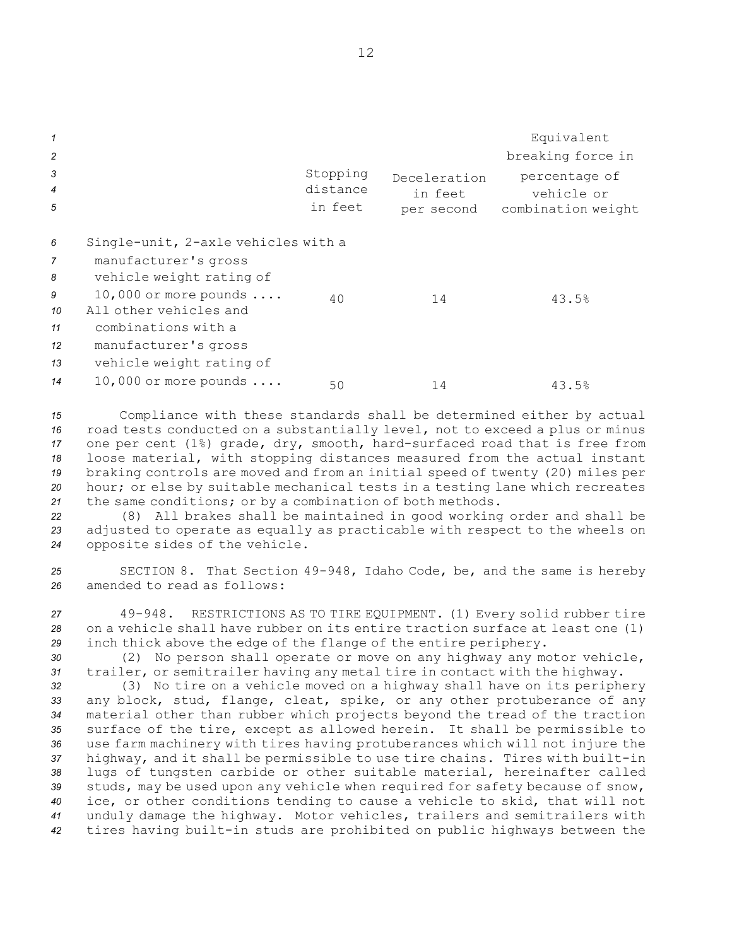| $\mathbf{1}$<br>$\overline{c}$<br>3<br>$\overline{4}$ |                                                                                                                                                     | Stopping<br>distance | Deceleration<br>in feet | Equivalent<br>breaking force in<br>percentage of<br>vehicle or |
|-------------------------------------------------------|-----------------------------------------------------------------------------------------------------------------------------------------------------|----------------------|-------------------------|----------------------------------------------------------------|
| 5                                                     |                                                                                                                                                     | in feet              | per second              | combination weight                                             |
| 6<br>$\overline{7}$<br>8<br>9<br>10                   | Single-unit, 2-axle vehicles with a<br>manufacturer's gross<br>vehicle weight rating of<br>10,000 or more pounds $\ldots$<br>All other vehicles and | 40                   | 14                      | 43.5%                                                          |
| 11<br>12<br>13<br>14                                  | combinations with a<br>manufacturer's gross<br>vehicle weight rating of<br>10,000 or more pounds $\ldots$                                           | 50                   | 14                      | 43.5%                                                          |
|                                                       |                                                                                                                                                     |                      |                         |                                                                |

 Compliance with these standards shall be determined either by actual road tests conducted on <sup>a</sup> substantially level, not to exceed <sup>a</sup> plus or minus one per cent (1%) grade, dry, smooth, hard-surfaced road that is free from loose material, with stopping distances measured from the actual instant braking controls are moved and from an initial speed of twenty (20) miles per hour; or else by suitable mechanical tests in <sup>a</sup> testing lane which recreates the same conditions; or by <sup>a</sup> combination of both methods.

*<sup>22</sup>* (8) All brakes shall be maintained in good working order and shall be *<sup>23</sup>* adjusted to operate as equally as practicable with respect to the wheels on *<sup>24</sup>* opposite sides of the vehicle.

*<sup>25</sup>* SECTION 8. That Section 49-948, Idaho Code, be, and the same is hereby *26* amended to read as follows:

*<sup>27</sup>* 49-948. RESTRICTIONS AS TO TIRE EQUIPMENT. (1) Every solid rubber tire *28* on <sup>a</sup> vehicle shall have rubber on its entire traction surface at least one (1) *<sup>29</sup>* inch thick above the edge of the flange of the entire periphery.

*<sup>30</sup>* (2) No person shall operate or move on any highway any motor vehicle, *<sup>31</sup>* trailer, or semitrailer having any metal tire in contact with the highway.

 (3) No tire on <sup>a</sup> vehicle moved on <sup>a</sup> highway shall have on its periphery any block, stud, flange, cleat, spike, or any other protuberance of any material other than rubber which projects beyond the tread of the traction surface of the tire, except as allowed herein. It shall be permissible to use farm machinery with tires having protuberances which will not injure the highway, and it shall be permissible to use tire chains. Tires with built-in lugs of tungsten carbide or other suitable material, hereinafter called studs, may be used upon any vehicle when required for safety because of snow, ice, or other conditions tending to cause <sup>a</sup> vehicle to skid, that will not unduly damage the highway. Motor vehicles, trailers and semitrailers with tires having built-in studs are prohibited on public highways between the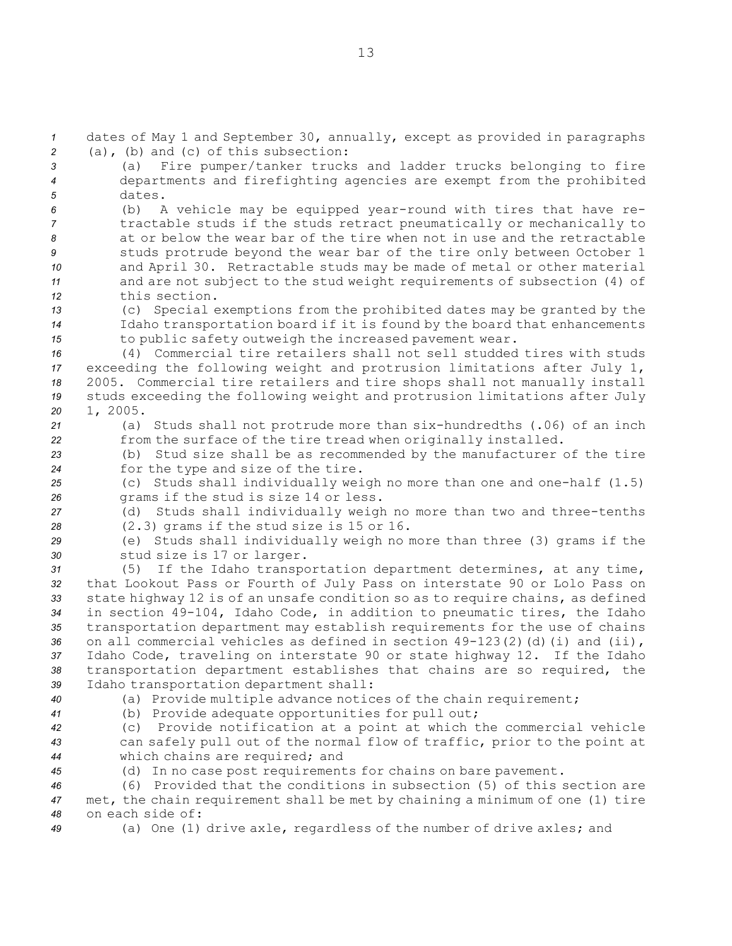dates of May 1 and September 30, annually, except as provided in paragraphs (a), (b) and (c) of this subsection: (a) Fire pumper/tanker trucks and ladder trucks belonging to fire departments and firefighting agencies are exempt from the prohibited *5* dates. (b) <sup>A</sup> vehicle may be equipped year-round with tires that have re- tractable studs if the studs retract pneumatically or mechanically to at or below the wear bar of the tire when not in use and the retractable studs protrude beyond the wear bar of the tire only between October 1 and April 30. Retractable studs may be made of metal or other material and are not subject to the stud weight requirements of subsection (4) of this section. (c) Special exemptions from the prohibited dates may be granted by the Idaho transportation board if it is found by the board that enhancements to public safety outweigh the increased pavement wear. (4) Commercial tire retailers shall not sell studded tires with studs exceeding the following weight and protrusion limitations after July 1, 2005. Commercial tire retailers and tire shops shall not manually install studs exceeding the following weight and protrusion limitations after July *<sup>20</sup>* 1, 2005. (a) Studs shall not protrude more than six-hundredths (.06) of an inch from the surface of the tire tread when originally installed. (b) Stud size shall be as recommended by the manufacturer of the tire for the type and size of the tire. (c) Studs shall individually weigh no more than one and one-half (1.5) grams if the stud is size 14 or less. (d) Studs shall individually weigh no more than two and three-tenths (2.3) grams if the stud size is 15 or 16. (e) Studs shall individually weigh no more than three (3) grams if the stud size is 17 or larger. (5) If the Idaho transportation department determines, at any time, that Lookout Pass or Fourth of July Pass on interstate 90 or Lolo Pass on state highway 12 is of an unsafe condition so as to require chains, as defined in section 49-104, Idaho Code, in addition to pneumatic tires, the Idaho transportation department may establish requirements for the use of chains on all commercial vehicles as defined in section 49-123(2)(d)(i) and (ii), Idaho Code, traveling on interstate 90 or state highway 12. If the Idaho transportation department establishes that chains are so required, the Idaho transportation department shall: (a) Provide multiple advance notices of the chain requirement; (b) Provide adequate opportunities for pull out; (c) Provide notification at <sup>a</sup> point at which the commercial vehicle can safely pull out of the normal flow of traffic, prior to the point at which chains are required; and (d) In no case post requirements for chains on bare pavement. (6) Provided that the conditions in subsection (5) of this section are met, the chain requirement shall be met by chaining <sup>a</sup> minimum of one (1) tire on each side of:

*<sup>49</sup>* (a) One (1) drive axle, regardless of the number of drive axles; and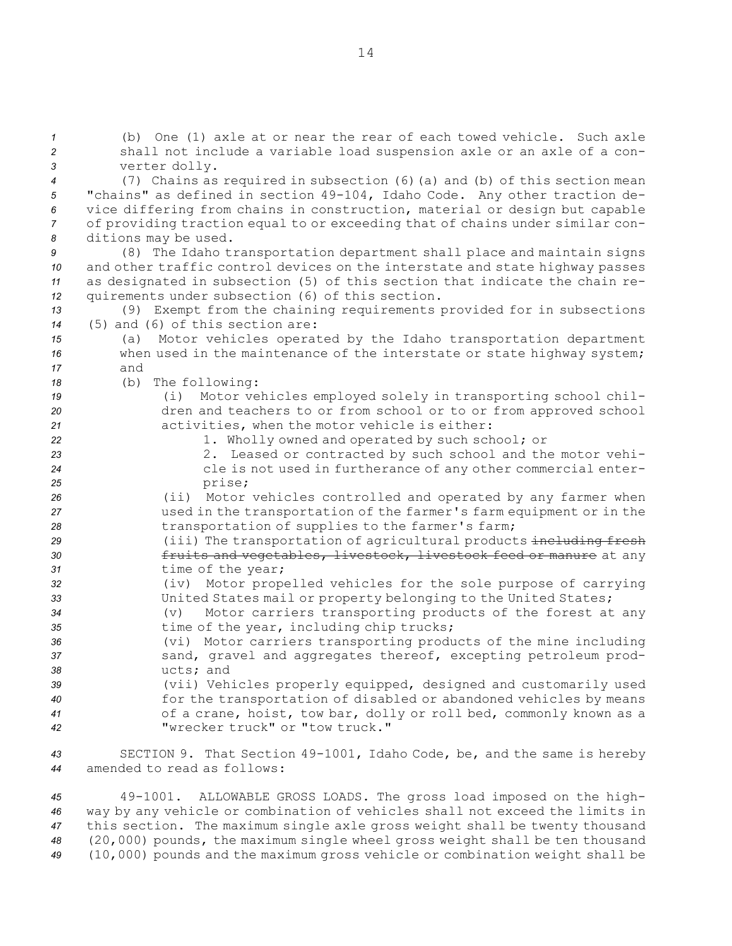(b) One (1) axle at or near the rear of each towed vehicle. Such axle shall not include <sup>a</sup> variable load suspension axle or an axle of <sup>a</sup> con- verter dolly. (7) Chains as required in subsection (6)(a) and (b) of this section mean "chains" as defined in section 49-104, Idaho Code. Any other traction de- vice differing from chains in construction, material or design but capable of providing traction equal to or exceeding that of chains under similar con- ditions may be used. (8) The Idaho transportation department shall place and maintain signs and other traffic control devices on the interstate and state highway passes as designated in subsection (5) of this section that indicate the chain re- quirements under subsection (6) of this section. (9) Exempt from the chaining requirements provided for in subsections (5) and (6) of this section are: (a) Motor vehicles operated by the Idaho transportation department when used in the maintenance of the interstate or state highway system; *17* and (b) The following: (i) Motor vehicles employed solely in transporting school chil- dren and teachers to or from school or to or from approved school activities, when the motor vehicle is either: 1. Wholly owned and operated by such school; or 2. Leased or contracted by such school and the motor vehi- cle is not used in furtherance of any other commercial enter-*<sup>25</sup>* prise; (ii) Motor vehicles controlled and operated by any farmer when used in the transportation of the farmer's farm equipment or in the 28 transportation of supplies to the farmer's farm; (iii) The transportation of agricultural products including fresh fruits and vegetables, livestock, livestock feed or manure at any time of the year; (iv) Motor propelled vehicles for the sole purpose of carrying United States mail or property belonging to the United States; (v) Motor carriers transporting products of the forest at any time of the year, including chip trucks; (vi) Motor carriers transporting products of the mine including 37 sand, gravel and aggregates thereof, excepting petroleum prod- ucts; and (vii) Vehicles properly equipped, designed and customarily used for the transportation of disabled or abandoned vehicles by means of <sup>a</sup> crane, hoist, tow bar, dolly or roll bed, commonly known as <sup>a</sup> "wrecker truck" or "tow truck." SECTION 9. That Section 49-1001, Idaho Code, be, and the same is hereby amended to read as follows:

 49-1001. ALLOWABLE GROSS LOADS. The gross load imposed on the high- way by any vehicle or combination of vehicles shall not exceed the limits in this section. The maximum single axle gross weight shall be twenty thousand (20,000) pounds, the maximum single wheel gross weight shall be ten thousand (10,000) pounds and the maximum gross vehicle or combination weight shall be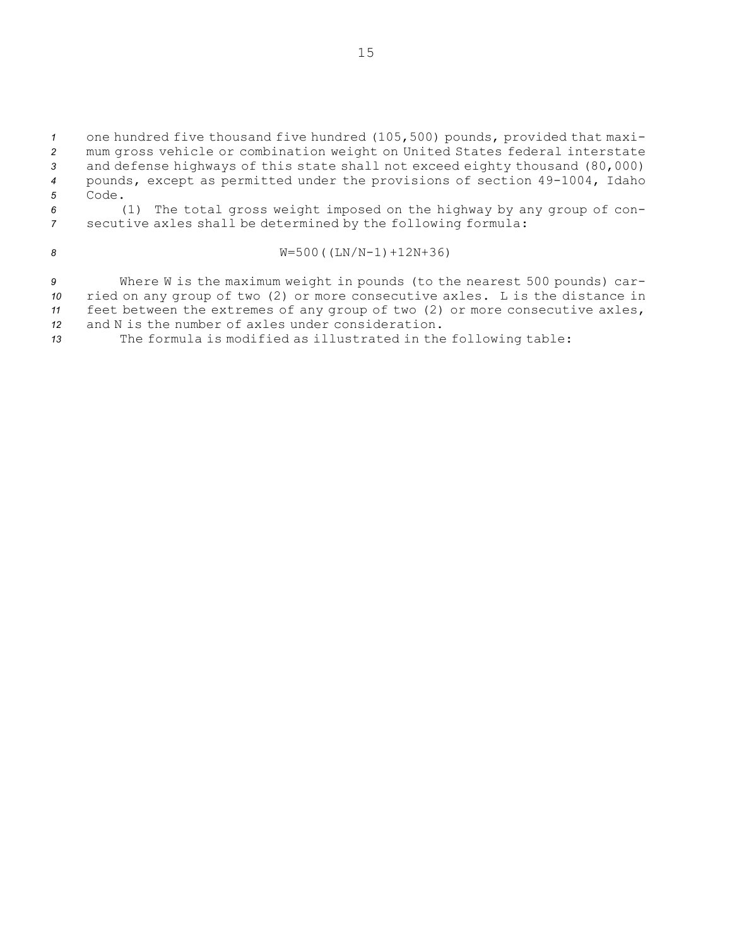one hundred five thousand five hundred (105,500) pounds, provided that maxi- mum gross vehicle or combination weight on United States federal interstate and defense highways of this state shall not exceed eighty thousand (80,000) pounds, except as permitted under the provisions of section 49-1004, Idaho *5* Code. (1) The total gross weight imposed on the highway by any group of con-secutive axles shall be determined by the following formula:

# *<sup>8</sup>* W=500((LN/N-1)+12N+36)

 Where <sup>W</sup> is the maximum weight in pounds (to the nearest 500 pounds) car- ried on any group of two (2) or more consecutive axles. <sup>L</sup> is the distance in feet between the extremes of any group of two (2) or more consecutive axles, and N is the number of axles under consideration.

*<sup>13</sup>* The formula is modified as illustrated in the following table: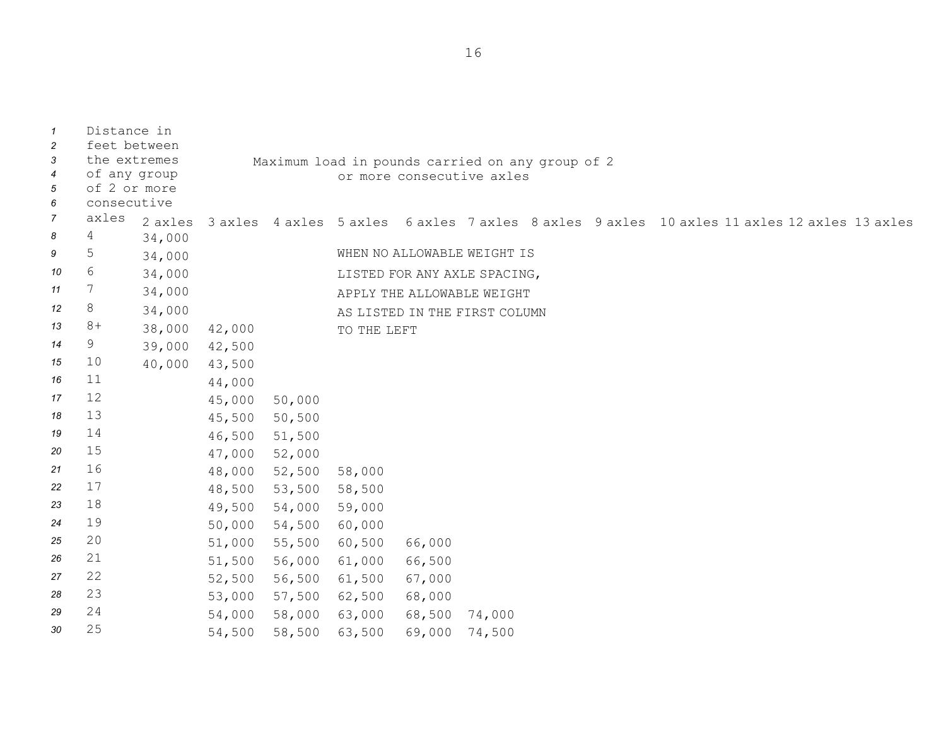Distance in feet between the extremes of any group of 2 or more consecutive Maximum load in pounds carried on any group of 2 or more consecutive axles *7* axles axles 3 axles 4 axles 5 axles 6 axles 7 axles 8 axles 9 axles 10 axles 11 axles 12 axles 13 axles *<sup>8</sup>* <sup>4</sup> 34,000 <sup>5</sup> 34,000 WHEN NO ALLOWABLE WEIGHT IS <sup>6</sup> 34,000 LISTED FOR ANY AXLE SPACING, <sup>7</sup> 34,000 APPLY THE ALLOWABLE WEIGHT <sup>12</sup> 8 34,000 AS LISTED IN THE FIRST COLUMN 13 8+ 38,000 42,000 TO THE LEFT <sup>9</sup> 39,000 42,500 <sup>10</sup> 40,000 43,500 <sup>11</sup> 44,000 <sup>12</sup> 45,000 50,000 <sup>13</sup> 45,500 50,500 <sup>14</sup> 46,500 51,500 <sup>15</sup> 47,000 52,000 <sup>16</sup> 48,000 52,500 58,000 <sup>17</sup> 48,500 53,500 58,500 <sup>18</sup> 49,500 54,000 59,000 <sup>19</sup> 50,000 54,500 60,000 <sup>20</sup> 51,000 55,500 60,500 66,000 <sup>21</sup> 51,500 56,000 61,000 66,500 <sup>22</sup> 52,500 56,500 61,500 67,000 <sup>23</sup> 53,000 57,500 62,500 68,000 <sup>24</sup> 54,000 58,000 63,000 68,500 74,000 <sup>25</sup> 54,500 58,500 63,500 69,000 74,500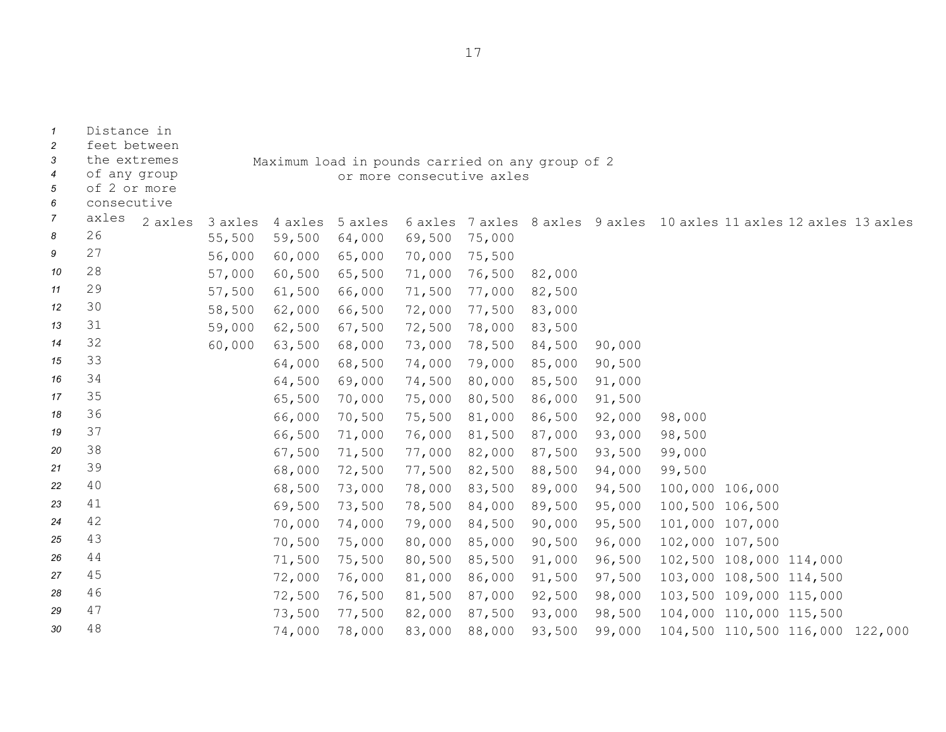| $\mathbf{1}$          | Distance in                  |         |         |                                                                               |        |        |        |        |                                                                     |  |  |
|-----------------------|------------------------------|---------|---------|-------------------------------------------------------------------------------|--------|--------|--------|--------|---------------------------------------------------------------------|--|--|
| 2                     | feet between                 |         |         |                                                                               |        |        |        |        |                                                                     |  |  |
| 3<br>$\boldsymbol{4}$ | the extremes<br>of any group |         |         | Maximum load in pounds carried on any group of 2<br>or more consecutive axles |        |        |        |        |                                                                     |  |  |
| 5                     | of 2 or more                 |         |         |                                                                               |        |        |        |        |                                                                     |  |  |
| 6                     | consecutive                  |         |         |                                                                               |        |        |        |        |                                                                     |  |  |
| $\overline{7}$        | axles<br>2 axles             | 3 axles | 4 axles | 5 axles                                                                       |        |        |        |        | 6 axles 7 axles 8 axles 9 axles 10 axles 11 axles 12 axles 13 axles |  |  |
| 8                     | 26                           | 55,500  | 59,500  | 64,000                                                                        | 69,500 | 75,000 |        |        |                                                                     |  |  |
| 9                     | 27                           | 56,000  | 60,000  | 65,000                                                                        | 70,000 | 75,500 |        |        |                                                                     |  |  |
| 10                    | 28                           | 57,000  | 60,500  | 65,500                                                                        | 71,000 | 76,500 | 82,000 |        |                                                                     |  |  |
| 11                    | 29                           | 57,500  | 61,500  | 66,000                                                                        | 71,500 | 77,000 | 82,500 |        |                                                                     |  |  |
| 12                    | 30                           | 58,500  | 62,000  | 66,500                                                                        | 72,000 | 77,500 | 83,000 |        |                                                                     |  |  |
| 13                    | 31                           | 59,000  | 62,500  | 67,500                                                                        | 72,500 | 78,000 | 83,500 |        |                                                                     |  |  |
| 14                    | 32                           | 60,000  | 63,500  | 68,000                                                                        | 73,000 | 78,500 | 84,500 | 90,000 |                                                                     |  |  |
| 15                    | 33                           |         | 64,000  | 68,500                                                                        | 74,000 | 79,000 | 85,000 | 90,500 |                                                                     |  |  |
| 16                    | 34                           |         | 64,500  | 69,000                                                                        | 74,500 | 80,000 | 85,500 | 91,000 |                                                                     |  |  |
| 17                    | 35                           |         | 65,500  | 70,000                                                                        | 75,000 | 80,500 | 86,000 | 91,500 |                                                                     |  |  |
| 18                    | 36                           |         | 66,000  | 70,500                                                                        | 75,500 | 81,000 | 86,500 | 92,000 | 98,000                                                              |  |  |
| 19                    | 37                           |         | 66,500  | 71,000                                                                        | 76,000 | 81,500 | 87,000 | 93,000 | 98,500                                                              |  |  |
| 20                    | 38                           |         | 67,500  | 71,500                                                                        | 77,000 | 82,000 | 87,500 | 93,500 | 99,000                                                              |  |  |
| 21                    | 39                           |         | 68,000  | 72,500                                                                        | 77,500 | 82,500 | 88,500 | 94,000 | 99,500                                                              |  |  |
| 22                    | 40                           |         | 68,500  | 73,000                                                                        | 78,000 | 83,500 | 89,000 | 94,500 | 100,000 106,000                                                     |  |  |
| 23                    | 41                           |         | 69,500  | 73,500                                                                        | 78,500 | 84,000 | 89,500 | 95,000 | 100,500 106,500                                                     |  |  |
| 24                    | 42                           |         | 70,000  | 74,000                                                                        | 79,000 | 84,500 | 90,000 | 95,500 | 101,000 107,000                                                     |  |  |
| 25                    | 43                           |         | 70,500  | 75,000                                                                        | 80,000 | 85,000 | 90,500 | 96,000 | 102,000 107,500                                                     |  |  |
| 26                    | 44                           |         | 71,500  | 75,500                                                                        | 80,500 | 85,500 | 91,000 | 96,500 | 102,500 108,000 114,000                                             |  |  |
| 27                    | 45                           |         | 72,000  | 76,000                                                                        | 81,000 | 86,000 | 91,500 | 97,500 | 103,000 108,500 114,500                                             |  |  |
| 28                    | 46                           |         | 72,500  | 76,500                                                                        | 81,500 | 87,000 | 92,500 | 98,000 | 103,500 109,000 115,000                                             |  |  |
| 29                    | 47                           |         | 73,500  | 77,500                                                                        | 82,000 | 87,500 | 93,000 | 98,500 | 104,000 110,000 115,500                                             |  |  |
| 30                    | 48                           |         | 74,000  | 78,000                                                                        | 83,000 | 88,000 | 93,500 | 99,000 | 104,500 110,500 116,000 122,000                                     |  |  |

17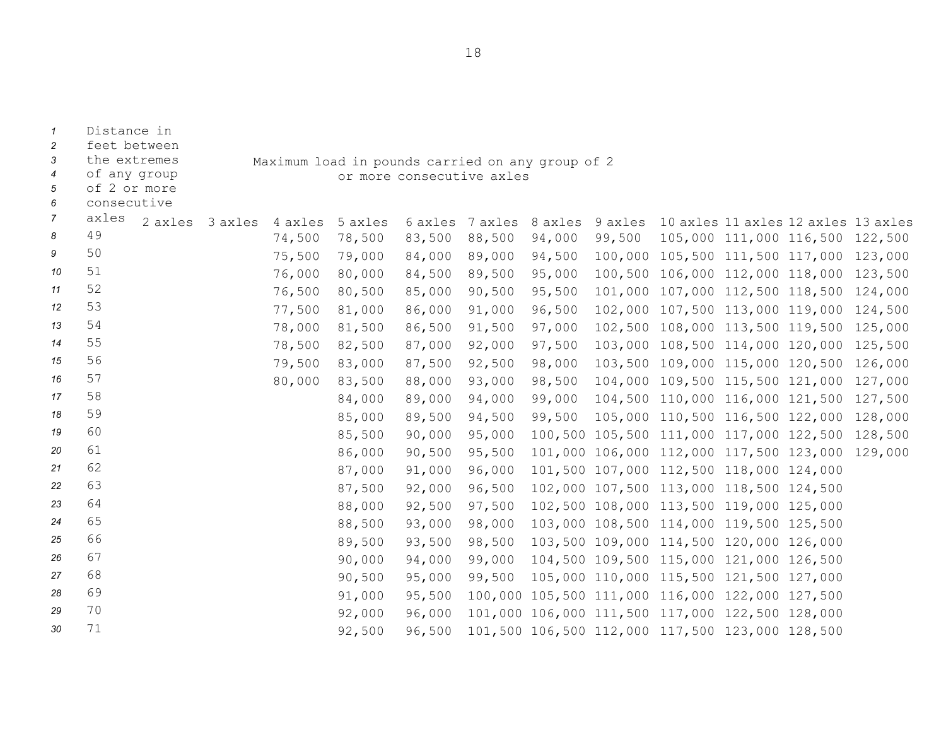| $\overline{2}$<br>3<br>$\boldsymbol{4}$<br>5<br>6 | feet between<br>the extremes<br>of any group<br>of 2 or more<br>consecutive |         |         |         | Maximum load in pounds carried on any group of 2 | or more consecutive axles |         |         |        |                                                 |                                 |         |
|---------------------------------------------------|-----------------------------------------------------------------------------|---------|---------|---------|--------------------------------------------------|---------------------------|---------|---------|--------|-------------------------------------------------|---------------------------------|---------|
| 7                                                 | axles                                                                       | 2 axles | 3 axles | 4 axles | 5 axles                                          | 6 axles                   | 7 axles | 8 axles |        | 9 axles 10 axles 11 axles 12 axles 13 axles     |                                 |         |
| 8                                                 | 49                                                                          |         |         | 74,500  | 78,500                                           | 83,500                    | 88,500  | 94,000  | 99,500 |                                                 | 105,000 111,000 116,500 122,500 |         |
| 9                                                 | 50                                                                          |         |         | 75,500  | 79,000                                           | 84,000                    | 89,000  | 94,500  |        | 100,000 105,500 111,500 117,000 123,000         |                                 |         |
| 10                                                | 51                                                                          |         |         | 76,000  | 80,000                                           | 84,500                    | 89,500  | 95,000  |        | 100,500 106,000 112,000 118,000 123,500         |                                 |         |
| 11                                                | 52                                                                          |         |         | 76,500  | 80,500                                           | 85,000                    | 90,500  | 95,500  |        | 101,000 107,000 112,500 118,500                 |                                 | 124,000 |
| 12                                                | 53                                                                          |         |         | 77,500  | 81,000                                           | 86,000                    | 91,000  | 96,500  |        | 102,000 107,500 113,000 119,000                 |                                 | 124,500 |
| 13                                                | 54                                                                          |         |         | 78,000  | 81,500                                           | 86,500                    | 91,500  | 97,000  |        | 102,500 108,000 113,500 119,500                 |                                 | 125,000 |
| 14                                                | 55                                                                          |         |         | 78,500  | 82,500                                           | 87,000                    | 92,000  | 97,500  |        | 103,000 108,500 114,000 120,000                 |                                 | 125,500 |
| 15                                                | 56                                                                          |         |         | 79,500  | 83,000                                           | 87,500                    | 92,500  | 98,000  |        | 103,500 109,000 115,000 120,500                 |                                 | 126,000 |
| 16                                                | 57                                                                          |         |         | 80,000  | 83,500                                           | 88,000                    | 93,000  | 98,500  |        | 104,000 109,500 115,500 121,000                 |                                 | 127,000 |
| 17                                                | 58                                                                          |         |         |         | 84,000                                           | 89,000                    | 94,000  | 99,000  |        | 104,500 110,000 116,000 121,500                 |                                 | 127,500 |
| 18                                                | 59                                                                          |         |         |         | 85,000                                           | 89,500                    | 94,500  | 99,500  |        | 105,000 110,500 116,500 122,000                 |                                 | 128,000 |
| 19                                                | 60                                                                          |         |         |         | 85,500                                           | 90,000                    | 95,000  |         |        | 100,500 105,500 111,000 117,000 122,500         |                                 | 128,500 |
| 20                                                | 61                                                                          |         |         |         | 86,000                                           | 90,500                    | 95,500  |         |        | 101,000 106,000 112,000 117,500 123,000         |                                 | 129,000 |
| 21                                                | 62                                                                          |         |         |         | 87,000                                           | 91,000                    | 96,000  |         |        | 101,500 107,000 112,500 118,000 124,000         |                                 |         |
| 22                                                | 63                                                                          |         |         |         | 87,500                                           | 92,000                    | 96,500  |         |        | 102,000 107,500 113,000 118,500 124,500         |                                 |         |
| 23                                                | 64                                                                          |         |         |         | 88,000                                           | 92,500                    | 97,500  |         |        | 102,500 108,000 113,500 119,000 125,000         |                                 |         |
| 24                                                | 65                                                                          |         |         |         | 88,500                                           | 93,000                    | 98,000  |         |        | 103,000 108,500 114,000 119,500 125,500         |                                 |         |
| 25                                                | 66                                                                          |         |         |         | 89,500                                           | 93,500                    | 98,500  |         |        | 103,500 109,000 114,500 120,000 126,000         |                                 |         |
| 26                                                | 67                                                                          |         |         |         | 90,000                                           | 94,000                    | 99,000  |         |        | 104,500 109,500 115,000 121,000 126,500         |                                 |         |
| 27                                                | 68                                                                          |         |         |         | 90,500                                           | 95,000                    | 99,500  |         |        | 105,000 110,000 115,500 121,500 127,000         |                                 |         |
| 28                                                | 69                                                                          |         |         |         | 91,000                                           | 95,500                    |         |         |        | 100,000 105,500 111,000 116,000 122,000 127,500 |                                 |         |
| 29                                                | 70                                                                          |         |         |         | 92,000                                           | 96,000                    |         |         |        | 101,000 106,000 111,500 117,000 122,500 128,000 |                                 |         |
| 30                                                | 71                                                                          |         |         |         | 92,500                                           | 96,500                    |         |         |        | 101,500 106,500 112,000 117,500 123,000 128,500 |                                 |         |

*1* Distance in

18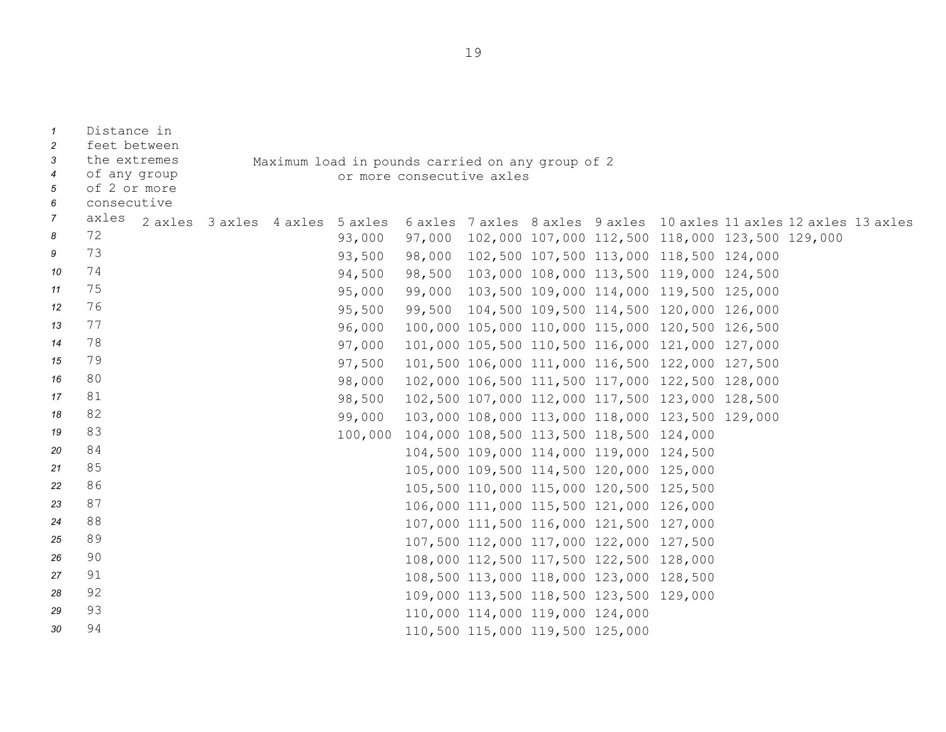| $\mathcal{I}$       | Distance in                  |                                 |                                                                               |        |                                 |  |                                         |                                                 |  |                                                                     |
|---------------------|------------------------------|---------------------------------|-------------------------------------------------------------------------------|--------|---------------------------------|--|-----------------------------------------|-------------------------------------------------|--|---------------------------------------------------------------------|
| $\overline{c}$<br>3 | feet between<br>the extremes |                                 |                                                                               |        |                                 |  |                                         |                                                 |  |                                                                     |
| $\overline{4}$      | of any group                 |                                 | Maximum load in pounds carried on any group of 2<br>or more consecutive axles |        |                                 |  |                                         |                                                 |  |                                                                     |
| 5                   | of 2 or more                 |                                 |                                                                               |        |                                 |  |                                         |                                                 |  |                                                                     |
| 6                   | consecutive                  |                                 |                                                                               |        |                                 |  |                                         |                                                 |  |                                                                     |
| $\overline{7}$      | axles                        | 2 axles 3 axles 4 axles 5 axles |                                                                               |        |                                 |  |                                         |                                                 |  | 6 axles 7 axles 8 axles 9 axles 10 axles 11 axles 12 axles 13 axles |
| 8                   | 72                           |                                 | 93,000                                                                        | 97,000 |                                 |  |                                         | 102,000 107,000 112,500 118,000 123,500 129,000 |  |                                                                     |
| 9                   | 73                           |                                 | 93,500                                                                        |        |                                 |  |                                         | 98,000 102,500 107,500 113,000 118,500 124,000  |  |                                                                     |
| 10                  | 74                           |                                 | 94,500                                                                        | 98,500 |                                 |  |                                         | 103,000 108,000 113,500 119,000 124,500         |  |                                                                     |
| 11                  | 75                           |                                 | 95,000                                                                        | 99,000 |                                 |  |                                         | 103,500 109,000 114,000 119,500 125,000         |  |                                                                     |
| 12                  | 76                           |                                 | 95,500                                                                        | 99,500 |                                 |  |                                         | 104,500 109,500 114,500 120,000 126,000         |  |                                                                     |
| 13                  | 77                           |                                 | 96,000                                                                        |        |                                 |  |                                         | 100,000 105,000 110,000 115,000 120,500 126,500 |  |                                                                     |
| 14                  | 78                           |                                 | 97,000                                                                        |        |                                 |  |                                         | 101,000 105,500 110,500 116,000 121,000 127,000 |  |                                                                     |
| 15                  | 79                           |                                 | 97,500                                                                        |        |                                 |  |                                         | 101,500 106,000 111,000 116,500 122,000 127,500 |  |                                                                     |
| 16                  | 80                           |                                 | 98,000                                                                        |        |                                 |  |                                         | 102,000 106,500 111,500 117,000 122,500 128,000 |  |                                                                     |
| 17                  | 81                           |                                 | 98,500                                                                        |        |                                 |  |                                         | 102,500 107,000 112,000 117,500 123,000 128,500 |  |                                                                     |
| 18                  | 82                           |                                 | 99,000                                                                        |        |                                 |  |                                         | 103,000 108,000 113,000 118,000 123,500 129,000 |  |                                                                     |
| 19                  | 83                           |                                 | 100,000                                                                       |        |                                 |  | 104,000 108,500 113,500 118,500 124,000 |                                                 |  |                                                                     |
| 20                  | 84                           |                                 |                                                                               |        |                                 |  | 104,500 109,000 114,000 119,000 124,500 |                                                 |  |                                                                     |
| 21                  | 85                           |                                 |                                                                               |        |                                 |  | 105,000 109,500 114,500 120,000 125,000 |                                                 |  |                                                                     |
| 22                  | 86                           |                                 |                                                                               |        |                                 |  | 105,500 110,000 115,000 120,500 125,500 |                                                 |  |                                                                     |
| 23                  | 87                           |                                 |                                                                               |        |                                 |  | 106,000 111,000 115,500 121,000 126,000 |                                                 |  |                                                                     |
| 24                  | 88                           |                                 |                                                                               |        |                                 |  | 107,000 111,500 116,000 121,500 127,000 |                                                 |  |                                                                     |
| 25                  | 89                           |                                 |                                                                               |        |                                 |  | 107,500 112,000 117,000 122,000 127,500 |                                                 |  |                                                                     |
| 26                  | 90                           |                                 |                                                                               |        |                                 |  | 108,000 112,500 117,500 122,500 128,000 |                                                 |  |                                                                     |
| 27                  | 91                           |                                 |                                                                               |        |                                 |  | 108,500 113,000 118,000 123,000 128,500 |                                                 |  |                                                                     |
| 28                  | 92                           |                                 |                                                                               |        |                                 |  | 109,000 113,500 118,500 123,500 129,000 |                                                 |  |                                                                     |
| 29                  | 93                           |                                 |                                                                               |        | 110,000 114,000 119,000 124,000 |  |                                         |                                                 |  |                                                                     |
| 30                  | 94                           |                                 |                                                                               |        | 110,500 115,000 119,500 125,000 |  |                                         |                                                 |  |                                                                     |

19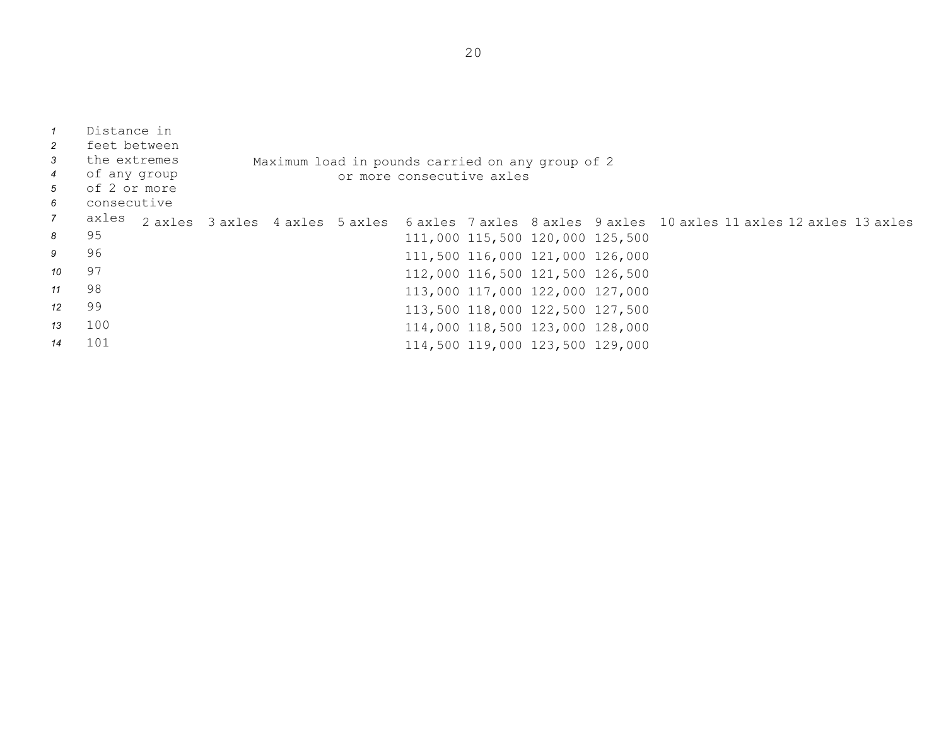| $\overline{1}$<br>$\overline{2}$<br>$\mathbf{3}$<br>$\overline{4}$<br>5<br>6 | Distance in<br>feet between<br>the extremes<br>of any group<br>of 2 or more<br>consecutive |  | Maximum load in pounds carried on any group of 2 | or more consecutive axles |                                 |  |                                                                                                     |  |
|------------------------------------------------------------------------------|--------------------------------------------------------------------------------------------|--|--------------------------------------------------|---------------------------|---------------------------------|--|-----------------------------------------------------------------------------------------------------|--|
| $\overline{7}$                                                               | axles                                                                                      |  |                                                  |                           |                                 |  | 2 axles 3 axles 4 axles 5 axles 6 axles 7 axles 8 axles 9 axles 10 axles 11 axles 12 axles 13 axles |  |
| 8                                                                            | 95                                                                                         |  |                                                  |                           | 111,000 115,500 120,000 125,500 |  |                                                                                                     |  |
| 9                                                                            | 96                                                                                         |  |                                                  |                           | 111,500 116,000 121,000 126,000 |  |                                                                                                     |  |
| 10                                                                           | 97                                                                                         |  |                                                  |                           | 112,000 116,500 121,500 126,500 |  |                                                                                                     |  |
| 11                                                                           | 98                                                                                         |  |                                                  |                           | 113,000 117,000 122,000 127,000 |  |                                                                                                     |  |
| 12                                                                           | 99                                                                                         |  |                                                  |                           | 113,500 118,000 122,500 127,500 |  |                                                                                                     |  |
| 13                                                                           | 100                                                                                        |  |                                                  |                           | 114,000 118,500 123,000 128,000 |  |                                                                                                     |  |
| 14                                                                           | 101                                                                                        |  |                                                  |                           | 114,500 119,000 123,500 129,000 |  |                                                                                                     |  |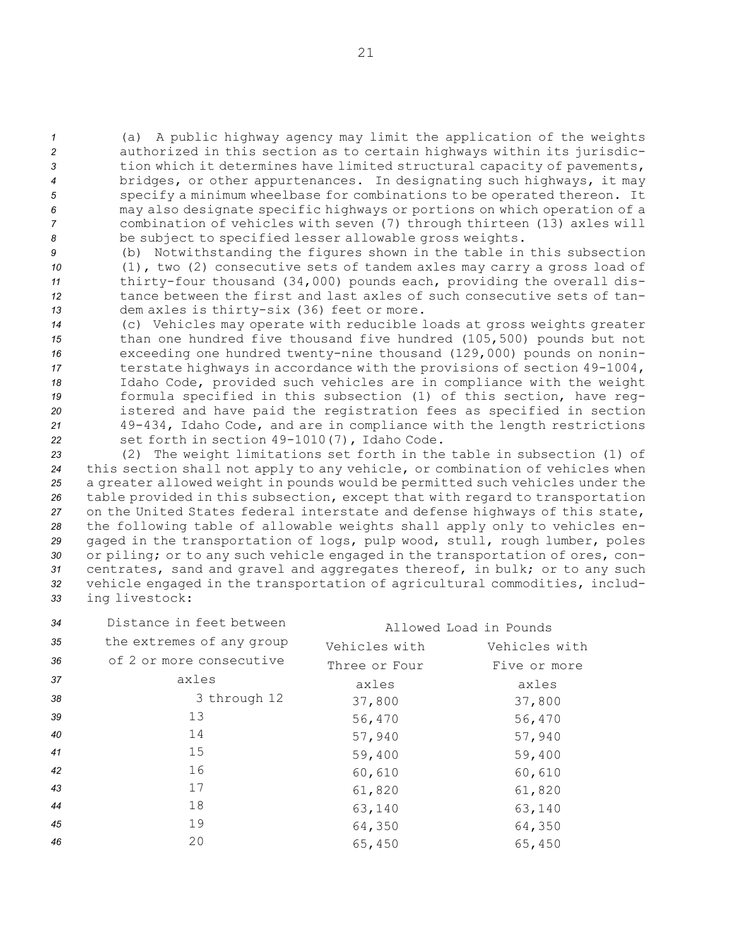(a) <sup>A</sup> public highway agency may limit the application of the weights authorized in this section as to certain highways within its jurisdic- tion which it determines have limited structural capacity of pavements, bridges, or other appurtenances. In designating such highways, it may specify <sup>a</sup> minimum wheelbase for combinations to be operated thereon. It may also designate specific highways or portions on which operation of <sup>a</sup> combination of vehicles with seven (7) through thirteen (13) axles will be subject to specified lesser allowable gross weights.

 (b) Notwithstanding the figures shown in the table in this subsection (1), two (2) consecutive sets of tandem axles may carry <sup>a</sup> gross load of thirty-four thousand (34,000) pounds each, providing the overall dis- tance between the first and last axles of such consecutive sets of tan-dem axles is thirty-six (36) feet or more.

 (c) Vehicles may operate with reducible loads at gross weights greater than one hundred five thousand five hundred (105,500) pounds but not exceeding one hundred twenty-nine thousand (129,000) pounds on nonin- terstate highways in accordance with the provisions of section 49-1004, Idaho Code, provided such vehicles are in compliance with the weight formula specified in this subsection (1) of this section, have reg- istered and have paid the registration fees as specified in section 49-434, Idaho Code, and are in compliance with the length restrictions set forth in section 49-1010(7), Idaho Code.

 (2) The weight limitations set forth in the table in subsection (1) of this section shall not apply to any vehicle, or combination of vehicles when <sup>a</sup> greater allowed weight in pounds would be permitted such vehicles under the table provided in this subsection, except that with regard to transportation on the United States federal interstate and defense highways of this state, the following table of allowable weights shall apply only to vehicles en- gaged in the transportation of logs, pulp wood, stull, rough lumber, poles or piling; or to any such vehicle engaged in the transportation of ores, con- centrates, sand and gravel and aggregates thereof, in bulk; or to any such vehicle engaged in the transportation of agricultural commodities, includ-ing livestock:

| 34 | Distance in feet between  | Allowed Load in Pounds |               |
|----|---------------------------|------------------------|---------------|
| 35 | the extremes of any group | Vehicles with          | Vehicles with |
| 36 | of 2 or more consecutive  | Three or Four          | Five or more  |
| 37 | axles                     | axles                  | axles         |
| 38 | 3 through 12              | 37,800                 | 37,800        |
| 39 | 13                        | 56,470                 | 56,470        |
| 40 | 14                        | 57,940                 | 57,940        |
| 41 | 15                        | 59,400                 | 59,400        |
| 42 | 16                        | 60,610                 | 60,610        |
| 43 | 17                        | 61,820                 | 61,820        |
| 44 | 18                        | 63,140                 | 63,140        |
| 45 | 19                        | 64,350                 | 64,350        |
| 46 | 20                        | 65,450                 | 65,450        |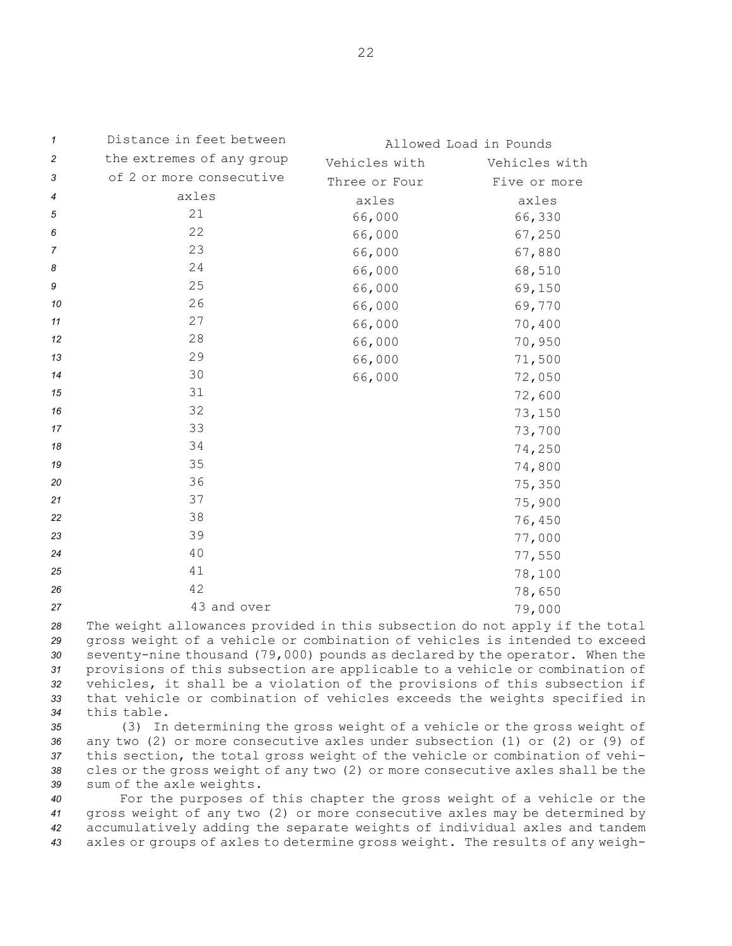| 1              | Distance in feet between  |               | Allowed Load in Pounds |
|----------------|---------------------------|---------------|------------------------|
| $\overline{c}$ | the extremes of any group | Vehicles with | Vehicles with          |
| 3              | of 2 or more consecutive  | Three or Four | Five or more           |
| 4              | axles                     | axles         | axles                  |
| 5              | 21                        | 66,000        | 66,330                 |
| 6              | 22                        | 66,000        | 67,250                 |
| $\overline{7}$ | 23                        | 66,000        | 67,880                 |
| 8              | 24                        | 66,000        | 68,510                 |
| 9              | 25                        | 66,000        | 69,150                 |
| 10             | 26                        | 66,000        | 69,770                 |
| 11             | 27                        | 66,000        | 70,400                 |
| 12             | 28                        | 66,000        | 70,950                 |
| 13             | 29                        | 66,000        | 71,500                 |
| 14             | 30                        | 66,000        | 72,050                 |
| 15             | 31                        |               | 72,600                 |
| 16             | 32                        |               | 73,150                 |
| 17             | 33                        |               | 73,700                 |
| 18             | 34                        |               | 74,250                 |
| 19             | 35                        |               | 74,800                 |
| 20             | 36                        |               | 75,350                 |
| 21             | 37                        |               | 75,900                 |
| 22             | 38                        |               | 76,450                 |
| 23             | 39                        |               | 77,000                 |
| 24             | 40                        |               | 77,550                 |
| 25             | $4\,1$                    |               | 78,100                 |
| 26             | 42                        |               | 78,650                 |
| 27             | 43 and over               |               | 79,000                 |

 The weight allowances provided in this subsection do not apply if the total gross weight of <sup>a</sup> vehicle or combination of vehicles is intended to exceed seventy-nine thousand (79,000) pounds as declared by the operator. When the provisions of this subsection are applicable to <sup>a</sup> vehicle or combination of vehicles, it shall be <sup>a</sup> violation of the provisions of this subsection if that vehicle or combination of vehicles exceeds the weights specified in this table.

 (3) In determining the gross weight of <sup>a</sup> vehicle or the gross weight of any two (2) or more consecutive axles under subsection (1) or (2) or (9) of this section, the total gross weight of the vehicle or combination of vehi- cles or the gross weight of any two (2) or more consecutive axles shall be the sum of the axle weights.

 For the purposes of this chapter the gross weight of <sup>a</sup> vehicle or the gross weight of any two (2) or more consecutive axles may be determined by accumulatively adding the separate weights of individual axles and tandem axles or groups of axles to determine gross weight. The results of any weigh-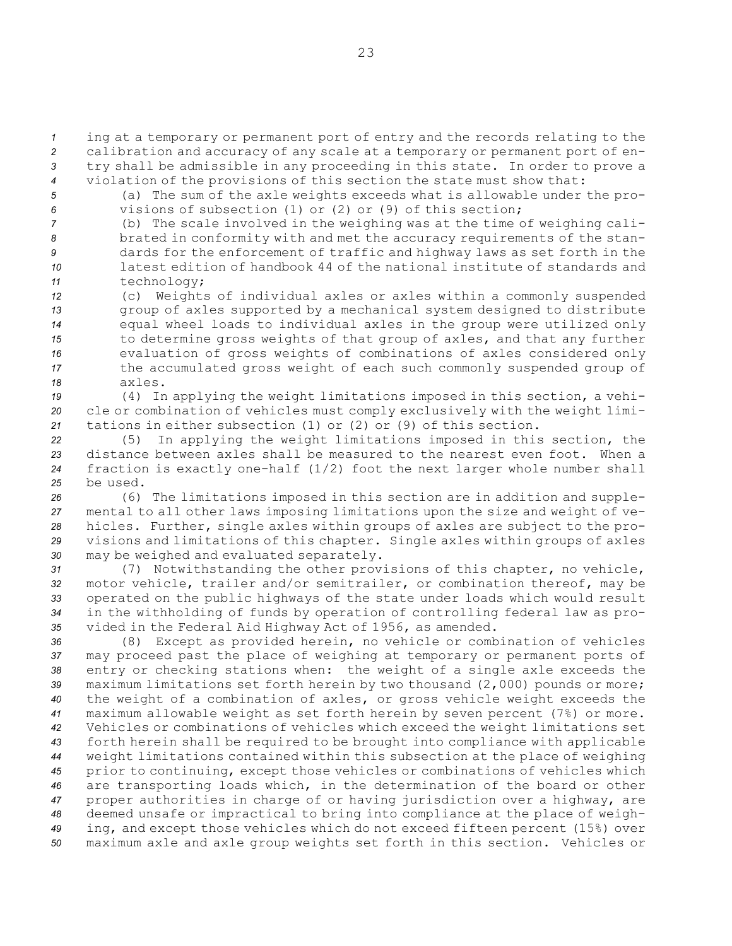*<sup>1</sup>* ing at <sup>a</sup> temporary or permanent port of entry and the records relating to the *<sup>2</sup>* calibration and accuracy of any scale at <sup>a</sup> temporary or permanent port of en-

*<sup>3</sup>* try shall be admissible in any proceeding in this state. In order to prove <sup>a</sup> *<sup>4</sup>* violation of the provisions of this section the state must show that:

*<sup>5</sup>* (a) The sum of the axle weights exceeds what is allowable under the pro-*6* visions of subsection (1) or (2) or (9) of this section;

 (b) The scale involved in the weighing was at the time of weighing cali- brated in conformity with and met the accuracy requirements of the stan- dards for the enforcement of traffic and highway laws as set forth in the latest edition of handbook 44 of the national institute of standards and technology;

 (c) Weights of individual axles or axles within <sup>a</sup> commonly suspended group of axles supported by <sup>a</sup> mechanical system designed to distribute equal wheel loads to individual axles in the group were utilized only to determine gross weights of that group of axles, and that any further evaluation of gross weights of combinations of axles considered only the accumulated gross weight of each such commonly suspended group of *18* axles.

*<sup>19</sup>* (4) In applying the weight limitations imposed in this section, <sup>a</sup> vehi-*<sup>20</sup>* cle or combination of vehicles must comply exclusively with the weight limi-*<sup>21</sup>* tations in either subsection (1) or (2) or (9) of this section.

 (5) In applying the weight limitations imposed in this section, the distance between axles shall be measured to the nearest even foot. When <sup>a</sup> fraction is exactly one-half (1/2) foot the next larger whole number shall *25* be used.

 (6) The limitations imposed in this section are in addition and supple- mental to all other laws imposing limitations upon the size and weight of ve- hicles. Further, single axles within groups of axles are subject to the pro- visions and limitations of this chapter. Single axles within groups of axles may be weighed and evaluated separately.

 (7) Notwithstanding the other provisions of this chapter, no vehicle, motor vehicle, trailer and/or semitrailer, or combination thereof, may be operated on the public highways of the state under loads which would result in the withholding of funds by operation of controlling federal law as pro-vided in the Federal Aid Highway Act of 1956, as amended.

 (8) Except as provided herein, no vehicle or combination of vehicles may proceed past the place of weighing at temporary or permanent ports of entry or checking stations when: the weight of <sup>a</sup> single axle exceeds the maximum limitations set forth herein by two thousand (2,000) pounds or more; the weight of <sup>a</sup> combination of axles, or gross vehicle weight exceeds the maximum allowable weight as set forth herein by seven percent (7%) or more. Vehicles or combinations of vehicles which exceed the weight limitations set forth herein shall be required to be brought into compliance with applicable weight limitations contained within this subsection at the place of weighing prior to continuing, except those vehicles or combinations of vehicles which are transporting loads which, in the determination of the board or other proper authorities in charge of or having jurisdiction over <sup>a</sup> highway, are deemed unsafe or impractical to bring into compliance at the place of weigh- ing, and except those vehicles which do not exceed fifteen percent (15%) over maximum axle and axle group weights set forth in this section. Vehicles or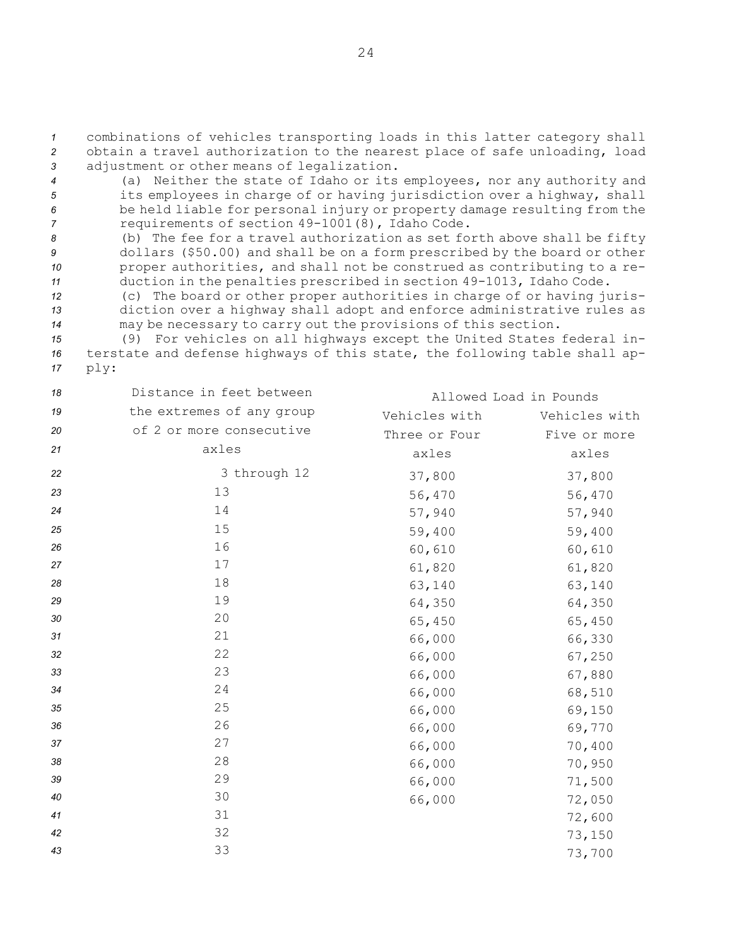*<sup>1</sup>* combinations of vehicles transporting loads in this latter category shall *<sup>2</sup>* obtain <sup>a</sup> travel authorization to the nearest place of safe unloading, load *<sup>3</sup>* adjustment or other means of legalization.

- *<sup>4</sup>* (a) Neither the state of Idaho or its employees, nor any authority and *<sup>5</sup>* its employees in charge of or having jurisdiction over <sup>a</sup> highway, shall *<sup>6</sup>* be held liable for personal injury or property damage resulting from the *<sup>7</sup>* requirements of section 49-1001(8), Idaho Code.
- *<sup>8</sup>* (b) The fee for <sup>a</sup> travel authorization as set forth above shall be fifty *<sup>9</sup>* dollars (\$50.00) and shall be on <sup>a</sup> form prescribed by the board or other *<sup>10</sup>* proper authorities, and shall not be construed as contributing to <sup>a</sup> re-*<sup>11</sup>* duction in the penalties prescribed in section 49-1013, Idaho Code.
- *<sup>12</sup>* (c) The board or other proper authorities in charge of or having juris-*<sup>13</sup>* diction over <sup>a</sup> highway shall adopt and enforce administrative rules as *<sup>14</sup>* may be necessary to carry out the provisions of this section.
- *<sup>15</sup>* (9) For vehicles on all highways except the United States federal in-*<sup>16</sup>* terstate and defense highways of this state, the following table shall ap-*<sup>17</sup>* ply:

| 18 | Distance in feet between  |               | Allowed Load in Pounds |
|----|---------------------------|---------------|------------------------|
| 19 | the extremes of any group | Vehicles with | Vehicles with          |
| 20 | of 2 or more consecutive  | Three or Four | Five or more           |
| 21 | axles                     | axles         | axles                  |
| 22 | 3 through 12              | 37,800        | 37,800                 |
| 23 | 13                        | 56,470        | 56,470                 |
| 24 | 14                        | 57,940        | 57,940                 |
| 25 | 15                        | 59,400        | 59,400                 |
| 26 | 16                        | 60,610        | 60,610                 |
| 27 | 17                        | 61,820        | 61,820                 |
| 28 | 18                        | 63,140        | 63,140                 |
| 29 | 19                        | 64,350        | 64,350                 |
| 30 | 20                        | 65,450        | 65,450                 |
| 31 | 21                        | 66,000        | 66,330                 |
| 32 | 22                        | 66,000        | 67,250                 |
| 33 | 23                        | 66,000        | 67,880                 |
| 34 | 24                        | 66,000        | 68,510                 |
| 35 | 25                        | 66,000        | 69,150                 |
| 36 | 26                        | 66,000        | 69,770                 |
| 37 | 27                        | 66,000        | 70,400                 |
| 38 | 28                        | 66,000        | 70,950                 |
| 39 | 29                        | 66,000        | 71,500                 |
| 40 | 30                        | 66,000        | 72,050                 |
| 41 | 31                        |               | 72,600                 |
| 42 | 32                        |               | 73,150                 |
| 43 | 33                        |               | 73,700                 |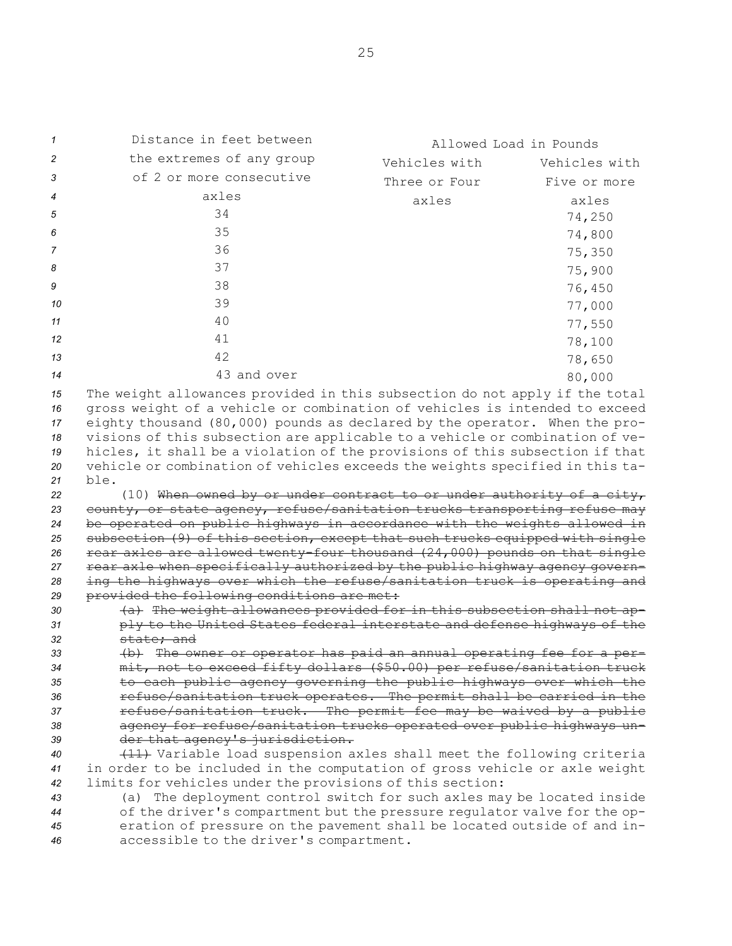| $\mathcal I$         | Distance in feet between                                                                                                                                                                                                                                                                                                | Allowed Load in Pounds |               |
|----------------------|-------------------------------------------------------------------------------------------------------------------------------------------------------------------------------------------------------------------------------------------------------------------------------------------------------------------------|------------------------|---------------|
| 2                    | the extremes of any group                                                                                                                                                                                                                                                                                               | Vehicles with          | Vehicles with |
| 3                    | of 2 or more consecutive                                                                                                                                                                                                                                                                                                | Three or Four          | Five or more  |
| 4                    | axles                                                                                                                                                                                                                                                                                                                   | axles                  | axles         |
| 5                    | 34                                                                                                                                                                                                                                                                                                                      |                        | 74,250        |
| 6                    | 35                                                                                                                                                                                                                                                                                                                      |                        | 74,800        |
| 7                    | 36                                                                                                                                                                                                                                                                                                                      |                        |               |
| 8                    | 37                                                                                                                                                                                                                                                                                                                      |                        | 75,350        |
|                      |                                                                                                                                                                                                                                                                                                                         |                        | 75,900        |
| 9                    | 38                                                                                                                                                                                                                                                                                                                      |                        | 76,450        |
| 10                   | 39                                                                                                                                                                                                                                                                                                                      |                        | 77,000        |
| 11                   | 40                                                                                                                                                                                                                                                                                                                      |                        | 77,550        |
| 12                   | 41                                                                                                                                                                                                                                                                                                                      |                        | 78,100        |
| 13                   | 42                                                                                                                                                                                                                                                                                                                      |                        | 78,650        |
| 14                   | 43 and over                                                                                                                                                                                                                                                                                                             |                        | 80,000        |
| 15<br>16<br>17<br>18 | The weight allowances provided in this subsection do not apply if the total<br>gross weight of a vehicle or combination of vehicles is intended to exceed<br>eighty thousand (80,000) pounds as declared by the operator. When the pro-<br>visions of this subsection are applicable to a vehicle or combination of ve- |                        |               |
| 19                   | hicles, it shall be a violation of the provisions of this subsection if that                                                                                                                                                                                                                                            |                        |               |
| 20                   | vehicle or combination of vehicles exceeds the weights specified in this ta-                                                                                                                                                                                                                                            |                        |               |
| 21                   | ble.                                                                                                                                                                                                                                                                                                                    |                        |               |
| 22<br>23             | (10) When owned by or under contract to or under authority of a city,<br>county, or state agency, refuse/sanitation trucks transporting refuse may                                                                                                                                                                      |                        |               |
| 24                   | be operated on public highways in accordance with the weights allowed in                                                                                                                                                                                                                                                |                        |               |
| 25                   | subsection (9) of this section, except that such trucks equipped with single                                                                                                                                                                                                                                            |                        |               |
| 26                   | rear axles are allowed twenty-four thousand (24,000) pounds on that single                                                                                                                                                                                                                                              |                        |               |
| 27                   | rear axle when specifically authorized by the public highway agency govern-                                                                                                                                                                                                                                             |                        |               |
| 28                   | ing the highways over which the refuse/sanitation truck is operating and                                                                                                                                                                                                                                                |                        |               |
| 29                   | provided the following conditions are met:                                                                                                                                                                                                                                                                              |                        |               |
| 30<br>31             | (a) The weight allowances provided for in this subsection shall not ap-<br>ply to the United States federal interstate and defense highways of the                                                                                                                                                                      |                        |               |
| 32                   | state; and                                                                                                                                                                                                                                                                                                              |                        |               |
| 33                   | (b) The owner or operator has paid an annual operating fee for a per-                                                                                                                                                                                                                                                   |                        |               |
| 34                   | mit, not to exceed fifty dollars (\$50.00) per refuse/sanitation truck                                                                                                                                                                                                                                                  |                        |               |
| 35                   | to each public agency governing the public highways over which the                                                                                                                                                                                                                                                      |                        |               |
| 36                   | refuse/sanitation truck operates. The permit shall be carried in the                                                                                                                                                                                                                                                    |                        |               |
| 37                   | refuse/sanitation truck. The permit fee may be waived by a public                                                                                                                                                                                                                                                       |                        |               |
| 38                   | agency for refuse/sanitation trucks operated over public highways un-                                                                                                                                                                                                                                                   |                        |               |
| 39<br>40             | der that agency's jurisdiction.<br>(11) Variable load suspension axles shall meet the following criteria                                                                                                                                                                                                                |                        |               |
| 41                   | in order to be included in the computation of gross vehicle or axle weight                                                                                                                                                                                                                                              |                        |               |
| 42                   | limits for vehicles under the provisions of this section:                                                                                                                                                                                                                                                               |                        |               |
| 43                   | (a) The deployment control switch for such axles may be located inside                                                                                                                                                                                                                                                  |                        |               |
| 44                   | of the driver's compartment but the pressure regulator valve for the op-                                                                                                                                                                                                                                                |                        |               |
| 45                   | eration of pressure on the pavement shall be located outside of and in-                                                                                                                                                                                                                                                 |                        |               |
| 46                   | accessible to the driver's compartment.                                                                                                                                                                                                                                                                                 |                        |               |